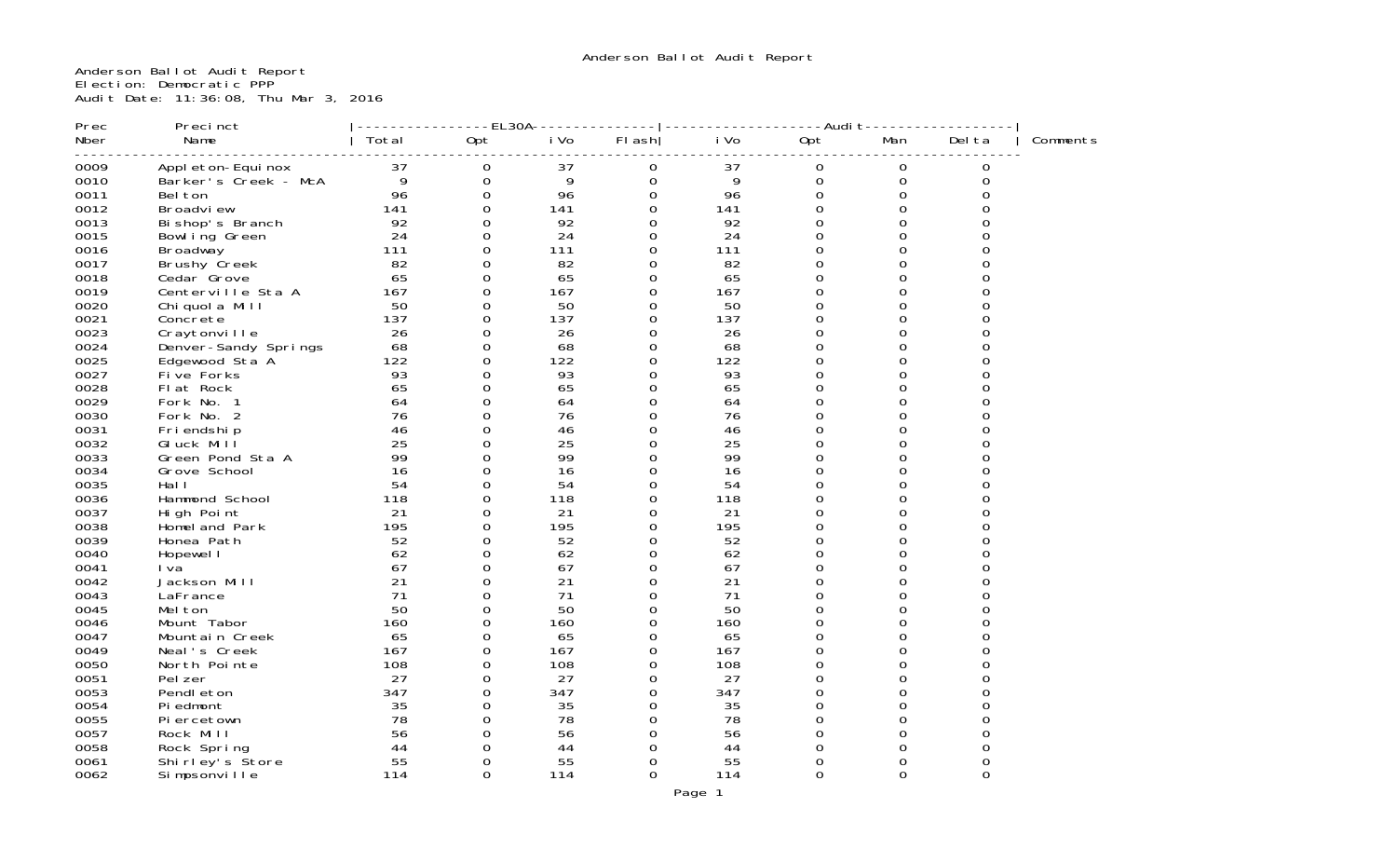Anderson Ballot Audit Report Election: Democratic PPP Audit Date: 11:36:08, Thu Mar 3, 2016

| Prec | Precinct             |       | ----EL30A-          |      |             |      | ----Audit   |             |          |          |
|------|----------------------|-------|---------------------|------|-------------|------|-------------|-------------|----------|----------|
| Nber | Name                 | Total | Opt                 | i Vo | $FI$ ash    | i Vo | Opt         | Man         | Del ta   | Comments |
| 0009 | Appl eton-Equi nox   | 37    | 0                   | 37   | 0           | 37   | 0           | 0           | 0        |          |
| 0010 | Barker's Creek - McA | 9     | $\mathsf{O}\xspace$ | 9    | $\mathbf 0$ | 9    | $\mathbf 0$ | $\mathbf 0$ | $\Omega$ |          |
| 0011 | Bel ton              | 96    | $\mathbf 0$         | 96   | $\Omega$    | 96   | $\Omega$    | $\Omega$    | 0        |          |
| 0012 | Broadview            | 141   | $\mathsf{O}\xspace$ | 141  | 0           | 141  | 0           | 0           | 0        |          |
| 0013 | Bi shop's Branch     | 92    | $\mathbf 0$         | 92   | $\Omega$    | 92   | $\Omega$    | $\Omega$    | O        |          |
| 0015 | Bowl ing Green       | 24    | $\mathbf 0$         | 24   | 0           | 24   | 0           | $\Omega$    | 0        |          |
| 0016 | Broadway             | 111   | $\mathbf 0$         | 111  | $\mathbf 0$ | 111  | $\Omega$    | $\Omega$    |          |          |
| 0017 | Brushy Creek         | 82    | $\mathbf{O}$        | 82   | $\Omega$    | 82   | $\Omega$    | $\Omega$    |          |          |
| 0018 | Cedar Grove          | 65    | $\mathbf{O}$        | 65   | $\mathbf 0$ | 65   | 0           | $\Omega$    |          |          |
| 0019 | Centerville Sta A    | 167   | $\mathbf{O}$        | 167  | $\Omega$    | 167  | $\Omega$    | $\Omega$    | U        |          |
| 0020 | Chi quol a Mill      | 50    | $\mathbf 0$         | 50   | 0           | 50   | 0           | 0           |          |          |
| 0021 | Concrete             | 137   | $\mathbf 0$         | 137  | 0           | 137  | $\Omega$    | $\Omega$    | O        |          |
| 0023 | Craytonville         | 26    | 0                   | 26   | 0           | 26   | $\Omega$    | $\Omega$    | 0        |          |
| 0024 | Denver-Sandy Springs | 68    | 0                   | 68   | $\Omega$    | 68   | $\Omega$    | 0           | U        |          |
| 0025 | Edgewood Sta A       | 122   | $\mathbf 0$         | 122  | $\Omega$    | 122  | $\Omega$    | $\Omega$    | $\Omega$ |          |
| 0027 | Five Forks           | 93    | $\mathbf{O}$        | 93   | $\Omega$    | 93   | $\Omega$    | $\Omega$    |          |          |
| 0028 | Flat Rock            | 65    | $\mathbf 0$         | 65   | $\mathbf 0$ | 65   | $\Omega$    | $\Omega$    | U        |          |
| 0029 | Fork No. 1           | 64    | $\mathbf 0$         | 64   | $\mathbf 0$ | 64   | $\Omega$    | $\Omega$    |          |          |
| 0030 | Fork No. 2           | 76    | $\Omega$            | 76   | $\Omega$    | 76   | $\Omega$    | $\Omega$    |          |          |
| 0031 | Fri endshi p         | 46    | $\mathbf 0$         | 46   | $\Omega$    | 46   | $\Omega$    | $\Omega$    | O        |          |
| 0032 | GI uck Mill          | 25    | $\Omega$            | 25   | $\Omega$    | 25   | $\Omega$    | $\Omega$    | U        |          |
| 0033 | Green Pond Sta A     | 99    | 0                   | 99   | 0           | 99   | $\Omega$    | $\Omega$    | 0        |          |
| 0034 | Grove School         | 16    | $\mathbf{O}$        | 16   | $\Omega$    | 16   | $\Omega$    | $\Omega$    | O        |          |
| 0035 | Hal I                | 54    | 0                   | 54   | 0           | 54   | $\Omega$    | $\Omega$    | U        |          |
| 0036 | Hammond School       | 118   | $\mathbf 0$         | 118  | $\mathbf 0$ | 118  | 0           | 0           |          |          |
| 0037 | High Point           | 21    | $\mathbf{O}$        | 21   | $\Omega$    | 21   | $\Omega$    | $\Omega$    | U        |          |
| 0038 | Homel and Park       | 195   | 0                   | 195  | 0           | 195  | $\Omega$    | $\Omega$    |          |          |
| 0039 | Honea Path           | 52    | $\mathbf{O}$        | 52   | $\Omega$    | 52   | $\Omega$    | $\Omega$    |          |          |
| 0040 | Hopewel I            | 62    | 0                   | 62   | 0           | 62   | $\Omega$    | $\Omega$    | 0        |          |
| 0041 | I va                 | 67    | $\Omega$            | 67   | $\Omega$    | 67   | $\Omega$    | $\Omega$    | U        |          |
| 0042 | Jackson Mill         | 21    | $\mathbf 0$         | 21   | 0           | 21   | $\Omega$    | $\Omega$    | 0        |          |
| 0043 | LaFrance             | 71    | $\mathbf{O}$        | 71   | $\Omega$    | 71   | $\Omega$    | $\Omega$    |          |          |
| 0045 | Mel ton              | 50    | $\mathbf 0$         | 50   | 0           | 50   | 0           | $\Omega$    | O        |          |
| 0046 | Mount Tabor          | 160   | $\mathbf{O}$        | 160  | $\mathbf 0$ | 160  | $\Omega$    | $\Omega$    |          |          |
| 0047 | Mountain Creek       | 65    | $\Omega$            | 65   | $\Omega$    | 65   | $\Omega$    | $\Omega$    | U        |          |
| 0049 | Neal's Creek         | 167   | $\mathbf 0$         | 167  | 0           | 167  | $\Omega$    | $\Omega$    |          |          |
| 0050 | North Pointe         | 108   | $\Omega$            | 108  | $\Omega$    | 108  | 0           | $\Omega$    | O        |          |
| 0051 | Pel zer              | 27    | 0                   | 27   | 0           | 27   | 0           | $\Omega$    | 0        |          |
| 0053 | Pendl eton           | 347   | $\mathbf{O}$        | 347  | $\Omega$    | 347  | $\Omega$    | $\Omega$    | U        |          |
| 0054 | Pi edmont            | 35    | 0                   | 35   | 0           | 35   | $\Omega$    | $\Omega$    | 0        |          |
| 0055 | Pi ercetown          | 78    | $\mathbf 0$         | 78   | $\Omega$    | 78   | $\Omega$    | $\Omega$    |          |          |
| 0057 | Rock Mill            | 56    | $\Omega$            | 56   | $\Omega$    | 56   | $\Omega$    | $\Omega$    | U        |          |
| 0058 | Rock Spring          | 44    | $\Omega$            | 44   | $\Omega$    | 44   | $\Omega$    | $\Omega$    |          |          |
| 0061 | Shirley's Store      | 55    | $\Omega$            | 55   | $\Omega$    | 55   | $\Omega$    | $\Omega$    | 0        |          |
| 0062 | Simpsonville         | 114   | $\Omega$            | 114  | $\Omega$    | 114  | $\Omega$    | $\Omega$    | $\Omega$ |          |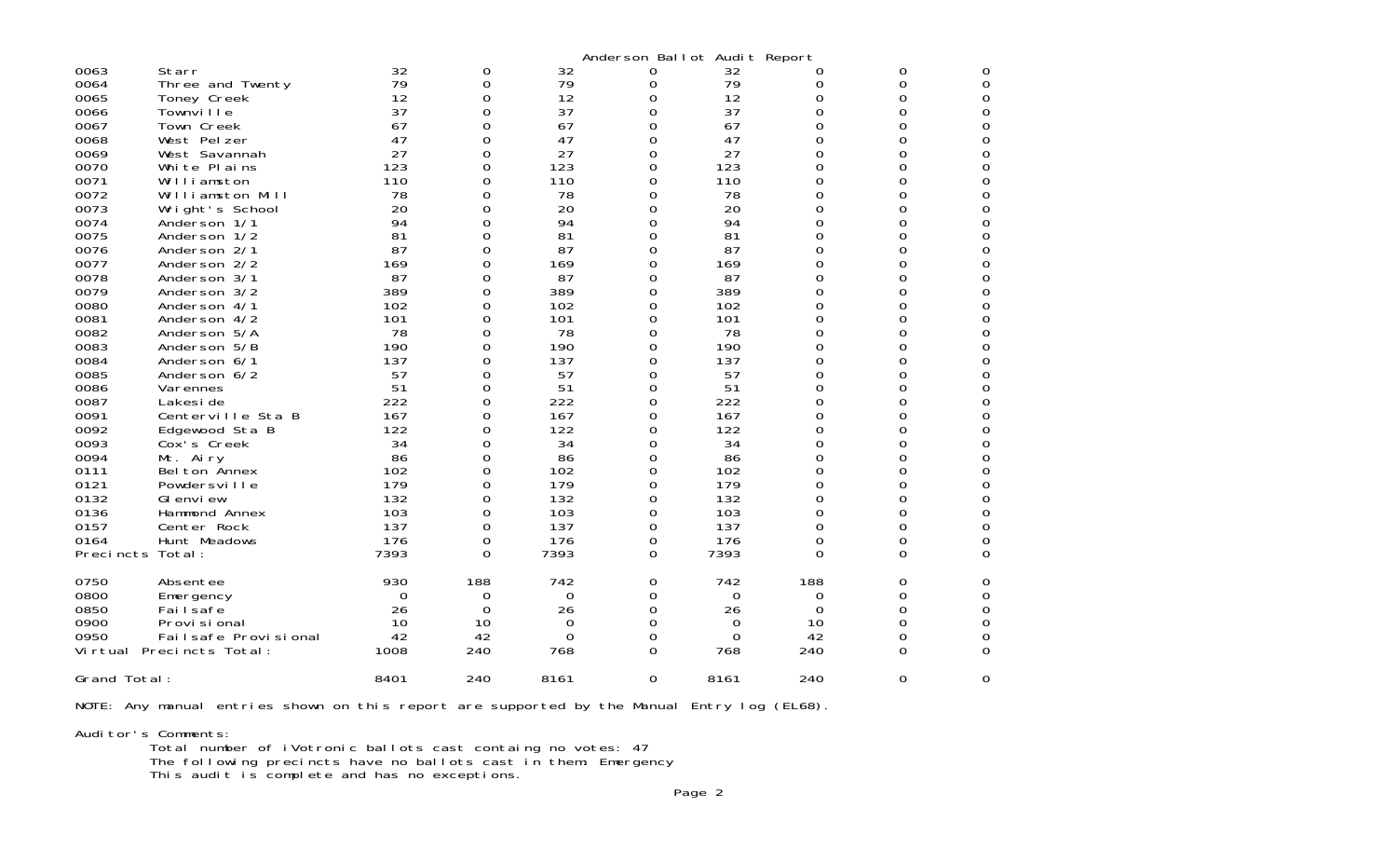| 0063<br>0064<br>0065<br>0066<br>0067<br>0068<br>0069<br>0070<br>0071<br>0072<br>0073<br>0074<br>0075<br>0076<br>0077<br>0078<br>0079<br>0080<br>0081<br>0082<br>0083<br>0084<br>0085<br>0086<br>0087<br>0091<br>0092<br>0093<br>0094<br>0111<br>0121<br>0132<br>0136<br>0157<br>0164<br>Precincts Total: | Starr<br>Three and Twenty<br>Toney Creek<br>Townville<br>Town Creek<br>West Pelzer<br>West Savannah<br>White Plains<br>Williamston<br>Williamston Mill<br>Wright's School<br>Anderson 1/1<br>Anderson 1/2<br>Anderson 2/1<br>Anderson 2/2<br>Anderson 3/1<br>Anderson 3/2<br>Anderson 4/1<br>Anderson 4/2<br>Anderson 5/A<br>Anderson 5/B<br>Anderson 6/1<br>Anderson 6/2<br>Varennes<br>Lakesi de<br>Centerville Sta B<br>Edgewood Sta B<br>Cox's Creek<br>Mt. Airy<br>Bel ton Annex<br>Powdersville<br>GI envi ew<br>Hammond Annex<br>Center Rock<br>Hunt Meadows | 32<br>79<br>12<br>37<br>67<br>47<br>27<br>123<br>110<br>78<br>20<br>94<br>81<br>87<br>169<br>87<br>389<br>102<br>101<br>78<br>190<br>137<br>57<br>51<br>222<br>167<br>122<br>34<br>86<br>102<br>179<br>132<br>103<br>137<br>176<br>7393 | 0<br>0<br>0<br>0<br>0<br>0<br>0<br>0<br>0<br>0<br>0<br>0<br>0<br>0<br>0<br>0<br>0<br>0<br>0<br>0<br>0<br>0<br>0<br>0<br>0<br>0<br>0<br>0<br>0<br>0<br>0<br>0<br>0<br>0<br>0<br>$\Omega$ | 32<br>79<br>12<br>37<br>67<br>47<br>27<br>123<br>110<br>78<br>20<br>94<br>81<br>87<br>169<br>87<br>389<br>102<br>101<br>78<br>190<br>137<br>57<br>51<br>222<br>167<br>122<br>34<br>86<br>102<br>179<br>132<br>103<br>137<br>176<br>7393 | 0<br>0<br>0<br>0<br>0<br>0<br>0<br>0<br>0<br>0<br>0<br>$\Omega$<br>0<br>0<br>0<br>0<br>0<br>0<br>0<br>0<br>0<br>0<br>0<br>0<br>0<br>0<br>0<br>0<br>0<br>0<br>0<br>0<br>0<br>0<br>0<br>0 | Anderson Ballot Audit Report<br>32<br>79<br>12<br>37<br>67<br>47<br>27<br>123<br>110<br>78<br>20<br>94<br>81<br>87<br>169<br>87<br>389<br>102<br>101<br>78<br>190<br>137<br>57<br>51<br>222<br>167<br>122<br>34<br>86<br>102<br>179<br>132<br>103<br>137<br>176<br>7393 | 0<br>0<br>0<br>0<br>0<br>0<br>0<br>0<br>0<br>0<br>0<br>0<br>0<br>0<br>0<br>0<br>0<br>0<br>0<br>0<br>0<br>0<br>0<br>0<br>0<br>0<br>0<br>0<br>0<br>0<br>0<br>0<br>0<br>0<br>0<br>0 | 0<br>0<br>0<br>0<br>0<br>0<br>0<br>0<br>0<br>0<br>0<br>O<br>0<br>0<br>0<br>0<br>0<br>0<br>0<br>0<br>O<br>0<br>0<br>0<br>0<br>Ω<br>0<br>0<br>0<br>0<br>0<br>0<br>Ω<br>0<br>0<br>$\Omega$ | 0<br>$\boldsymbol{0}$<br>$\Omega$<br>0<br>0<br>0<br>0<br>0<br>0<br>0<br>0<br>0<br>0<br>0<br>0<br>0<br>0<br>0<br>0<br>0<br>0<br>0<br>0<br>0<br>0<br>0<br>0<br>0<br>0<br>0<br>0<br>0<br>0<br>0<br>$\boldsymbol{0}$<br>0 |
|----------------------------------------------------------------------------------------------------------------------------------------------------------------------------------------------------------------------------------------------------------------------------------------------------------|---------------------------------------------------------------------------------------------------------------------------------------------------------------------------------------------------------------------------------------------------------------------------------------------------------------------------------------------------------------------------------------------------------------------------------------------------------------------------------------------------------------------------------------------------------------------|-----------------------------------------------------------------------------------------------------------------------------------------------------------------------------------------------------------------------------------------|-----------------------------------------------------------------------------------------------------------------------------------------------------------------------------------------|-----------------------------------------------------------------------------------------------------------------------------------------------------------------------------------------------------------------------------------------|-----------------------------------------------------------------------------------------------------------------------------------------------------------------------------------------|-------------------------------------------------------------------------------------------------------------------------------------------------------------------------------------------------------------------------------------------------------------------------|----------------------------------------------------------------------------------------------------------------------------------------------------------------------------------|-----------------------------------------------------------------------------------------------------------------------------------------------------------------------------------------|-----------------------------------------------------------------------------------------------------------------------------------------------------------------------------------------------------------------------|
| 0750<br>0800<br>0850<br>0900<br>0950                                                                                                                                                                                                                                                                     | Absentee<br>Emergency<br>Failsafe<br>Provi si onal<br>Failsafe Provisional<br>Virtual Precincts Total:                                                                                                                                                                                                                                                                                                                                                                                                                                                              | 930<br>0<br>26<br>10<br>42<br>1008                                                                                                                                                                                                      | 188<br>0<br>0<br>10<br>42<br>240                                                                                                                                                        | 742<br>0<br>26<br>0<br>0<br>768                                                                                                                                                                                                         | 0<br>0<br>0<br>0<br>0<br>0                                                                                                                                                              | 742<br>0<br>26<br>0<br>0<br>768                                                                                                                                                                                                                                         | 188<br>0<br>0<br>10<br>42<br>240                                                                                                                                                 | 0<br>0<br>0<br>0<br>0<br>0                                                                                                                                                              | 0<br>0<br>0<br>0<br>$\Omega$<br>0                                                                                                                                                                                     |
| Grand Total:                                                                                                                                                                                                                                                                                             |                                                                                                                                                                                                                                                                                                                                                                                                                                                                                                                                                                     | 8401                                                                                                                                                                                                                                    | 240                                                                                                                                                                                     | 8161                                                                                                                                                                                                                                    | $\Omega$                                                                                                                                                                                | 8161                                                                                                                                                                                                                                                                    | 240                                                                                                                                                                              | 0                                                                                                                                                                                       | $\Omega$                                                                                                                                                                                                              |

NOTE: Any manual entries shown on this report are supported by the Manual Entry log (EL68).

Auditor's Comments: Total number of iVotronic ballots cast containg no votes: 47 The following precincts have no ballots cast in them: Emergency This audit is complete and has no exceptions.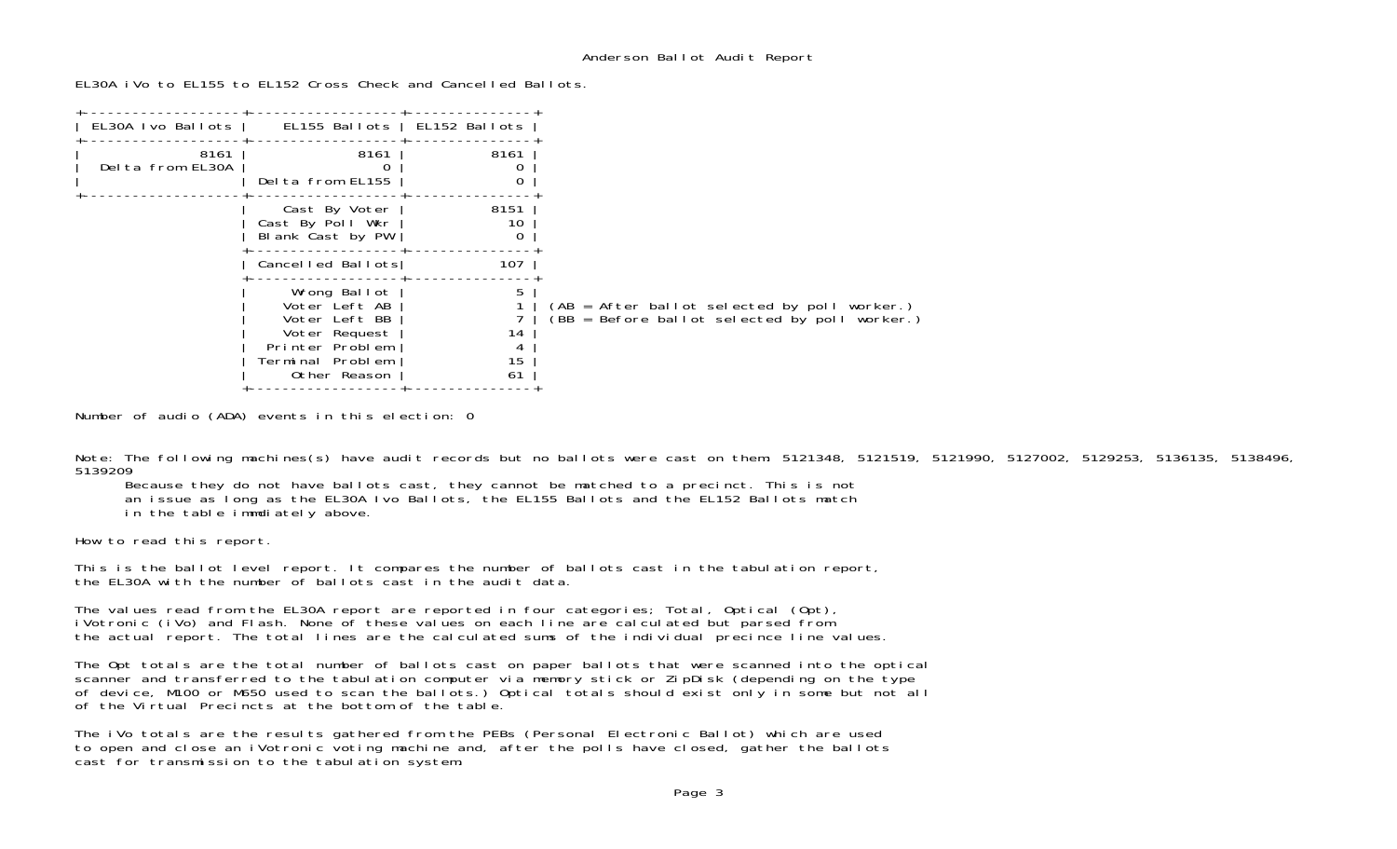EL30A iVo to EL155 to EL152 Cross Check and Cancelled Ballots.

| EL30A Ivo Ballots        | EL155 Ballots                                                                                                          | EL152 Ballots            |                                                                                                 |
|--------------------------|------------------------------------------------------------------------------------------------------------------------|--------------------------|-------------------------------------------------------------------------------------------------|
| 8161<br>Delta from EL30A | 8161<br>Delta from EL155                                                                                               | 8161                     |                                                                                                 |
|                          | Cast By Voter<br>Cast By Poll Wkr<br>Blank Cast by PW                                                                  | 8151<br>10<br>0          |                                                                                                 |
|                          | Cancelled Ballots                                                                                                      | 107                      |                                                                                                 |
|                          | Wrong Ballot<br>Voter Left AB<br>Voter Left BB<br>Voter Request<br>Printer Problem<br>Terminal Problem<br>Other Reason | 5<br>14<br>4<br>15<br>61 | $(AB = After ballot selected by poll worker.)$<br>(BB = Before ballot selected by poll worker.) |

Number of audio (ADA) events in this election: 0

Note: The following machines(s) have audit records but no ballots were cast on them: 5121348, 5121519, 5121990, 5127002, 5129253, 5136135, 5138496, 5139209

Because they do not have ballots cast, they cannot be matched to a precinct. This is not

an issue as long as the EL30A Ivo Ballots, the EL155 Ballots and the EL152 Ballots match

in the table immdiately above.

How to read this report.

This is the ballot level report. It compares the number of ballots cast in the tabulation report, the EL30A with the number of ballots cast in the audit data.

The values read from the EL30A report are reported in four categories; Total, Optical (Opt), iVotronic (iVo) and Flash. None of these values on each line are calculated but parsed from the actual report. The total lines are the calculated sums of the individual precince line values.

The Opt totals are the total number of ballots cast on paper ballots that were scanned into the optical scanner and transferred to the tabulation computer via memory stick or ZipDisk (depending on the type of device, M100 or M650 used to scan the ballots.) Optical totals should exist only in some but not all of the Virtual Precincts at the bottom of the table.

The iVo totals are the results gathered from the PEBs (Personal Electronic Ballot) which are used to open and close an iVotronic voting machine and, after the polls have closed, gather the ballots cast for transmission to the tabulation system.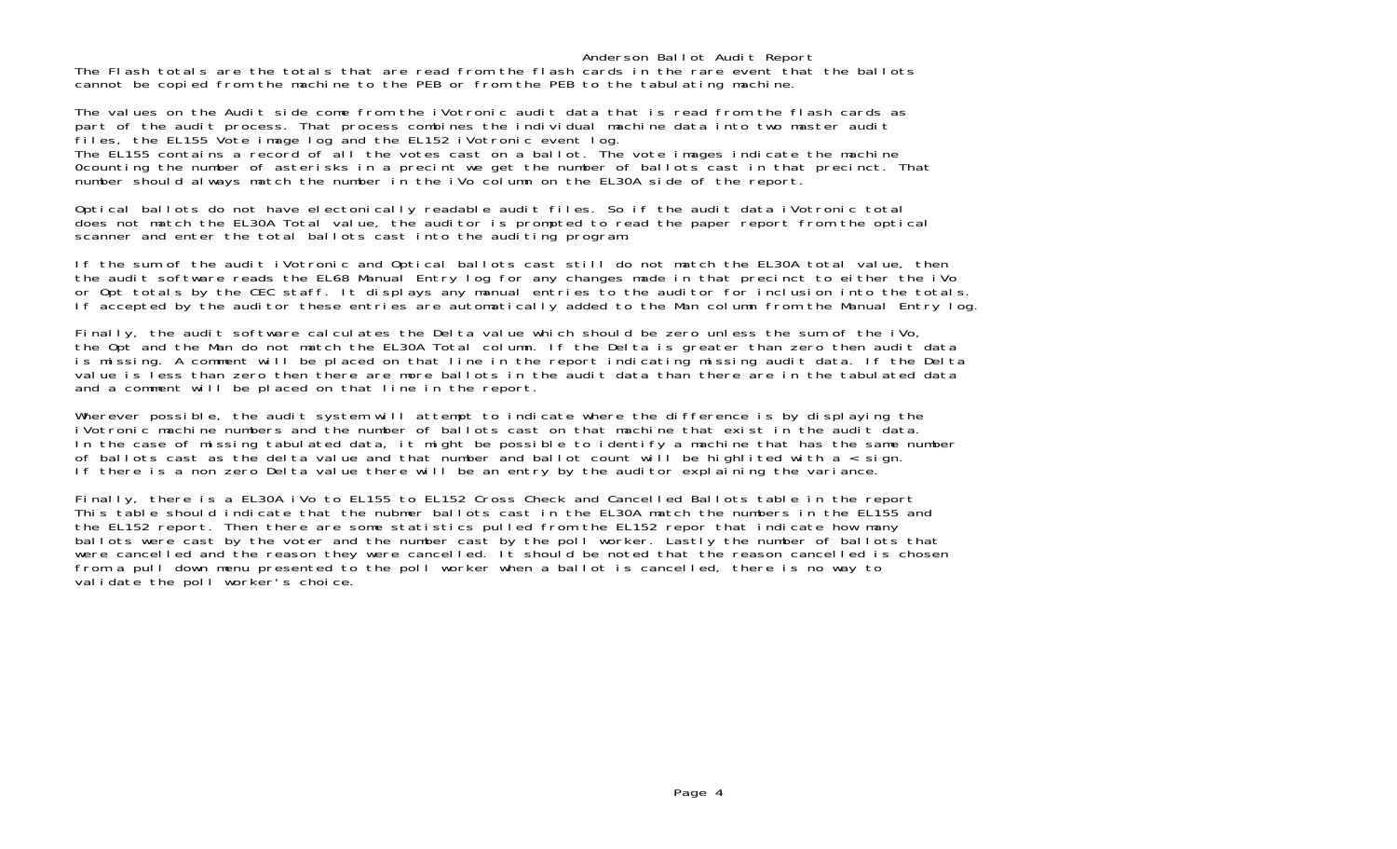Anderson Ballot Audit Report The Flash totals are the totals that are read from the flash cards in the rare event that the ballots cannot be copied from the machine to the PEB or from the PEB to the tabulating machine.

The values on the Audit side come from the iVotronic audit data that is read from the flash cards as part of the audit process. That process combines the individual machine data into two master audit files, the EL155 Vote image log and the EL152 iVotronic event log. The EL155 contains a record of all the votes cast on a ballot. The vote images indicate the machine 0counting the number of asterisks in a precint we get the number of ballots cast in that precinct. That number should always match the number in the iVo column on the EL30A side of the report.

Optical ballots do not have electonically readable audit files. So if the audit data iVotronic total does not match the EL30A Total value, the auditor is prompted to read the paper report from the optical scanner and enter the total ballots cast into the auditing program.

If the sum of the audit iVotronic and Optical ballots cast still do not match the EL30A total value, then the audit software reads the EL68 Manual Entry log for any changes made in that precinct to either the iVo or Opt totals by the CEC staff. It displays any manual entries to the auditor for inclusion into the totals. If accepted by the auditor these entries are automatically added to the Man column from the Manual Entry log.

Finally, the audit software calculates the Delta value which should be zero unless the sum of the iVo, the Opt and the Man do not match the EL30A Total column. If the Delta is greater than zero then audit data is missing. A comment will be placed on that line in the report indicating missing audit data. If the Delta value is less than zero then there are more ballots in the audit data than there are in the tabulated data and a comment will be placed on that line in the report.

Wherever possible, the audit system will attempt to indicate where the difference is by displaying the iVotronic machine numbers and the number of ballots cast on that machine that exist in the audit data.In the case of missing tabulated data, it might be possible to identify a machine that has the same number of ballots cast as the delta value and that number and ballot count will be highlited with a  $\overline{\cdot}$  sign. If there is a non zero Delta value there will be an entry by the auditor explaining the variance.

Finally, there is a EL30A iVo to EL155 to EL152 Cross Check and Cancelled Ballots table in the report This table should indicate that the nubmer ballots cast in the EL30A match the numbers in the EL155 and the EL152 report. Then there are some statistics pulled from the EL152 repor that indicate how many ballots were cast by the voter and the number cast by the poll worker. Lastly the number of ballots that were cancelled and the reason they were cancelled. It should be noted that the reason cancelled is chosen from a pull down menu presented to the poll worker when a ballot is cancelled, there is no way to validate the poll worker's choice.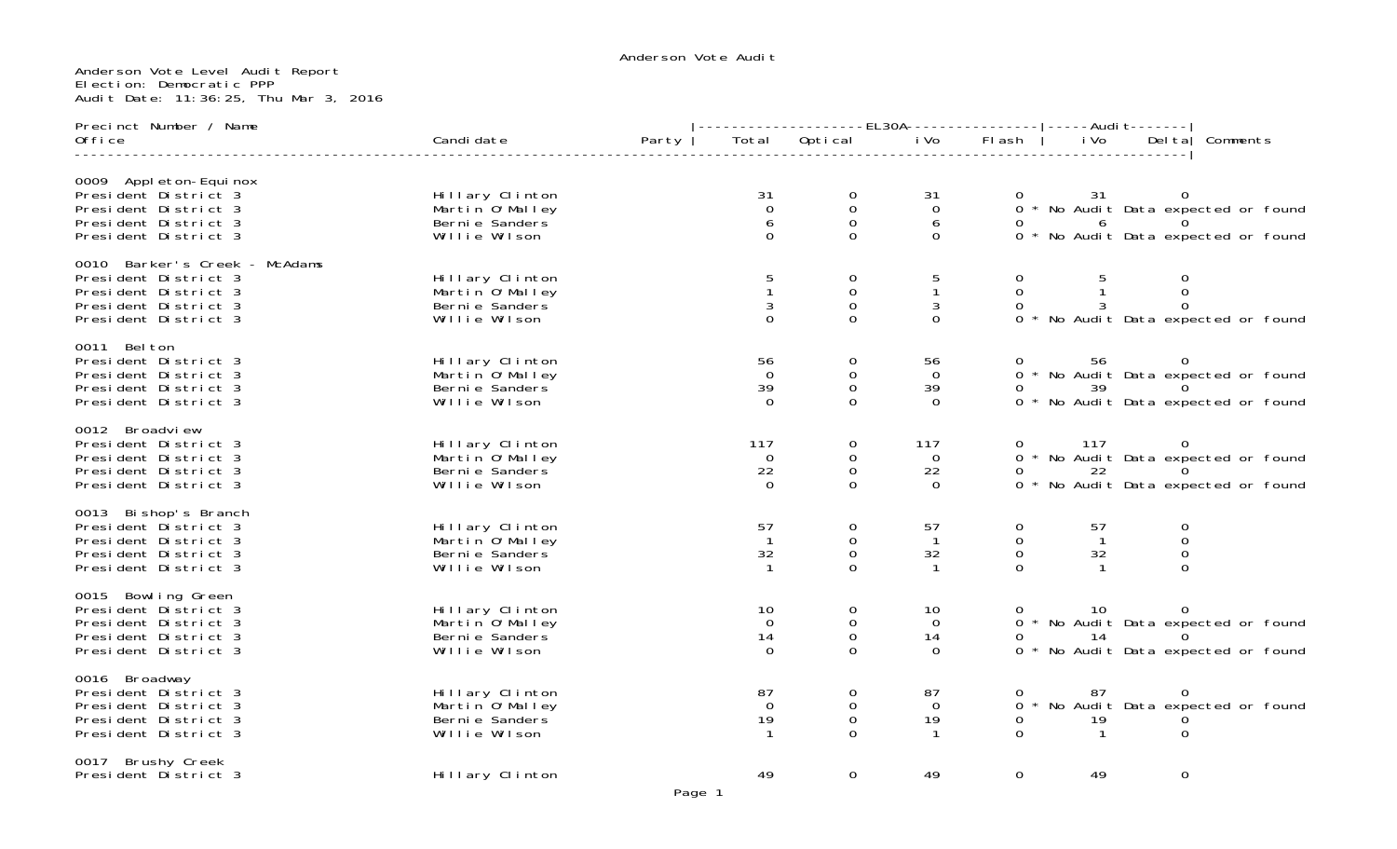# Anderson Vote Level Audit Report Election: Democratic PPP Audit Date: 11:36:25, Thu Mar 3, 2016

| Precinct Number / Name                                                                                                        |                                                                        |       |                                                                                                                                                                                                                                            |                                                            |                                            |                                                          |                                            |                                                  |                                                                                      |  |
|-------------------------------------------------------------------------------------------------------------------------------|------------------------------------------------------------------------|-------|--------------------------------------------------------------------------------------------------------------------------------------------------------------------------------------------------------------------------------------------|------------------------------------------------------------|--------------------------------------------|----------------------------------------------------------|--------------------------------------------|--------------------------------------------------|--------------------------------------------------------------------------------------|--|
| Office                                                                                                                        | Candi date                                                             | Party |                                                                                                                                                                                                                                            | Total Optical                                              | $\overline{\mathsf{i}}$ Vo                 | FI ash                                                   | i Vo                                       |                                                  | Del ta   Comments                                                                    |  |
| 0009 Appl eton-Equinox<br>President District 3<br>President District 3<br>President District 3<br>President District 3        | Hillary Clinton<br>Martin 0'Malley<br>Berni e Sanders<br>Willie Wilson |       | 31<br>$\overline{0}$<br>6<br>$\Omega$                                                                                                                                                                                                      | 0<br>${\bf O}$<br>$\overline{0}$<br>$\Omega$               | 31<br>$\overline{0}$<br>6<br>$\mathbf 0$   | 0                                                        | 31<br>6                                    |                                                  | 0 * No Audit Data expected or found<br>0 * No Audit Data expected or found           |  |
| 0010 Barker's Creek - McAdams<br>President District 3<br>President District 3<br>President District 3<br>President District 3 | Hillary Clinton<br>Martin O'Malley<br>Berni e Sanders<br>Willie Wilson |       | 5<br>3<br>$\Omega$                                                                                                                                                                                                                         | $\mathbf 0$<br>$\mathsf{O}\xspace$<br>$\Omega$<br>$\Omega$ | 5<br>$\mathbf{1}$<br>3<br>$\Omega$         | $\overline{0}$<br>$\overline{0}$<br>$\Omega$             |                                            | 0<br>$\mathbf 0$<br>$\mathbf 0$                  | 0 * No Audit Data expected or found                                                  |  |
| 0011 Belton<br>President District 3<br>President District 3<br>President District 3<br>President District 3                   | Hillary Clinton<br>Martin 0'Malley<br>Berni e Sanders<br>Willie Wilson |       | 56<br>$\Omega$<br>39<br>$\Omega$                                                                                                                                                                                                           | 0<br>0<br>$\mathbf 0$<br>$\Omega$                          | 56<br>$\Omega$<br>39<br>$\Omega$           | 0                                                        | 39                                         | $\Omega$                                         | 0 56 0<br>0 * No Audit Data expected or found<br>0 * No Audit Data expected or found |  |
| 0012 Broadview<br>President District 3<br>President District 3<br>President District 3<br>President District 3                | Hillary Clinton<br>Martin 0'Malley<br>Berni e Sanders<br>Willie Wilson |       | 117<br>$\overline{0}$<br>22<br>$\Omega$                                                                                                                                                                                                    | 0<br>$\mathbf 0$<br>$\mathbf 0$<br>$\Omega$                | 117<br>$\overline{0}$<br>22<br>$\Omega$    | 0                                                        | 117<br>22                                  | $\Omega$                                         | 0 * No Audit Data expected or found<br>0 * No Audit Data expected or found           |  |
| 0013 Bi shop's Branch<br>President District 3<br>President District 3<br>President District 3<br>President District 3         | Hillary Clinton<br>Martin 0'Malley<br>Berni e Sanders<br>Willie Wilson |       | 57<br>32<br>$\mathbf{1}$                                                                                                                                                                                                                   | 0<br>$\boldsymbol{0}$<br>$\mathbf 0$<br>$\Omega$           | 57<br>$\overline{1}$<br>32<br>$\mathbf{1}$ | $\mathbf{O}$<br>$\mathsf{O}$<br>$\mathsf{O}$<br>$\Omega$ | 57<br>$\overline{1}$<br>32<br>$\mathbf{1}$ | 0<br>$\boldsymbol{0}$<br>$\mathbf 0$<br>$\Omega$ |                                                                                      |  |
| 0015 Bowling Green<br>President District 3<br>President District 3<br>President District 3<br>President District 3            | Hillary Clinton<br>Martin O'Malley<br>Berni e Sanders<br>Willie Wilson |       | 10<br>$\Omega$<br>14<br>$\Omega$                                                                                                                                                                                                           | $\mathbf 0$<br>$\mathbf 0$<br>$\mathbf 0$<br>$\Omega$      | 10<br>$\mathbf 0$<br>14<br>$\Omega$        | $\overline{0}$<br>0                                      | 10<br>14                                   | $\overline{0}$<br>$\Omega$                       | 0 * No Audit Data expected or found<br>0 * No Audit Data expected or found           |  |
| 0016 Broadway<br>President District 3<br>President District 3<br>President District 3<br>President District 3                 | Hillary Clinton<br>Martin 0'Malley<br>Berni e Sanders<br>Willie Wilson |       | 87<br>$\Omega$<br>19                                                                                                                                                                                                                       | $\mathbf 0$<br>$\mathbf 0$<br>$\overline{0}$               | 87<br>$\Omega$<br>19                       | 0<br>$\Omega$                                            | 87<br>19<br>$\overline{1}$                 | $\overline{0}$<br>$\mathbf{O}$<br>$\Omega$       | 0 * No Audit Data expected or found                                                  |  |
| 0017 Brushy Creek<br>President District 3                                                                                     | Hillary Clinton                                                        |       | 49<br><u>and the set of the set of the set of the set of the set of the set of the set of the set of the set of the set of the set of the set of the set of the set of the set of the set of the set of the set of the set of the set </u> | $\Omega$                                                   | 49                                         | 0                                                        | 49                                         | 0                                                |                                                                                      |  |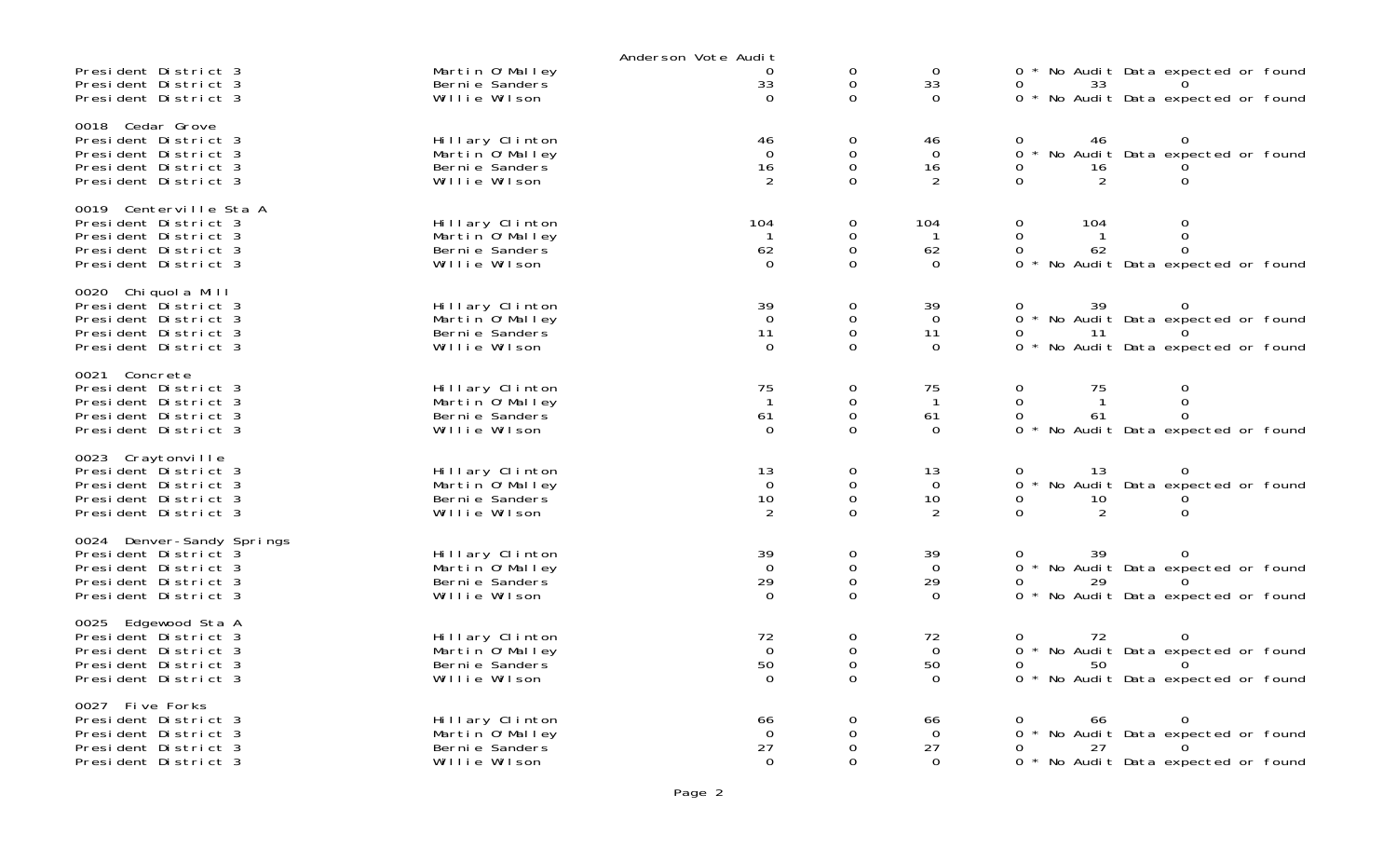|                                                                                                                           |                                                                        | Anderson Vote Audit                       |                                                             |                                              |                                                                                                                                                |
|---------------------------------------------------------------------------------------------------------------------------|------------------------------------------------------------------------|-------------------------------------------|-------------------------------------------------------------|----------------------------------------------|------------------------------------------------------------------------------------------------------------------------------------------------|
| President District 3<br>President District 3<br>President District 3                                                      | Martin O'Malley<br>Berni e Sanders<br>Willie Wilson                    | 0<br>33<br>$\Omega$                       | 0<br>$\mathbf{O}$<br>$\Omega$                               | $\mathbf 0$<br>33<br>$\Omega$                | 0 * No Audit Data expected or found<br>33<br>0 * No Audit Data expected or found                                                               |
| 0018 Cedar Grove<br>President District 3<br>President District 3<br>President District 3<br>President District 3          | Hillary Clinton<br>Martin O'Malley<br>Berni e Sanders<br>Willie Wilson | 46<br>$\Omega$<br>16<br>2                 | 0<br>$\mathbf 0$<br>$\mathsf{O}\xspace$<br>$\Omega$         | 46<br>$\Omega$<br>16<br>2                    | 46<br>No Audit Data expected or found<br>$\Omega$<br>0<br>16<br>$\Omega$<br>2                                                                  |
| 0019 Centerville Sta A<br>President District 3<br>President District 3<br>President District 3<br>President District 3    | Hillary Clinton<br>Martin O'Malley<br>Berni e Sanders<br>Willie Wilson | 104<br>62<br>$\Omega$                     | 0<br>0<br>$\mathsf{O}\xspace$<br>$\Omega$                   | 104<br>62<br>$\Omega$                        | 0<br>104<br>0<br>$\Omega$<br>0<br>62<br>0<br>0<br>$\Omega$<br>* No Audit Data expected or found                                                |
| 0020 Chiquola Mill<br>President District 3<br>President District 3<br>President District 3<br>President District 3        | Hillary Clinton<br>Martin O'Malley<br>Berni e Sanders<br>Willie Wilson | 39<br>$\mathbf 0$<br>11<br>$\mathbf 0$    | 0<br>0<br>$\mathsf{O}\xspace$<br>$\Omega$                   | 39<br>$\overline{0}$<br>11<br>$\overline{0}$ | 39<br>0<br>0 * No Audit Data expected or found<br>11<br>0 * No Audit Data expected or found                                                    |
| Concrete<br>0021<br>President District 3<br>President District 3<br>President District 3<br>President District 3          | Hillary Clinton<br>Martin O'Malley<br>Berni e Sanders<br>Willie Wilson | 75<br>$\mathbf{1}$<br>61<br>$\Omega$      | 0<br>$\mathsf{O}\xspace$<br>$\mathsf 0$<br>$\Omega$         | 75<br>$\mathbf{1}$<br>61<br>$\Omega$         | 0<br>0<br>75<br>$\overline{0}$<br>$\mathbf 0$<br>$\mathbf{1}$<br>61<br>$\Omega$<br>0<br>$\Omega$<br>$\star$<br>No Audit Data expected or found |
| 0023 Craytonville<br>President District 3<br>President District 3<br>President District 3<br>President District 3         | Hillary Clinton<br>Martin O'Malley<br>Berni e Sanders<br>Willie Wilson | 13<br>$\mathbf 0$<br>10<br>$\overline{2}$ | 0<br>$\mathsf{O}\xspace$<br>$\mathsf{O}\xspace$<br>$\Omega$ | 13<br>$\overline{0}$<br>10<br>$\overline{2}$ | 13<br>0<br>0 * No Audit Data expected or found<br>10<br>$\Omega$<br>2<br>$\Omega$                                                              |
| 0024 Denver-Sandy Springs<br>President District 3<br>President District 3<br>President District 3<br>President District 3 | Hillary Clinton<br>Martin O'Malley<br>Berni e Sanders<br>Willie Wilson | 39<br>$\mathbf 0$<br>29<br>$\mathbf 0$    | 0<br>$\mathbf 0$<br>$\mathbf 0$<br>$\Omega$                 | 39<br>$\Omega$<br>29<br>$\mathbf 0$          | 39<br>0<br>0 * No Audit Data expected or found<br>29<br>0 * No Audit Data expected or found                                                    |
| 0025<br>Edgewood Sta A<br>President District 3<br>President District 3<br>President District 3<br>President District 3    | Hillary Clinton<br>Martin O'Malley<br>Berni e Sanders<br>Willie Wilson | 72<br>$\mathbf 0$<br>50<br>$\Omega$       | $\mathbf 0$<br>$\mathsf{O}\xspace$<br>0<br>$\Omega$         | 72<br>$\mathbf 0$<br>50<br>$\Omega$          | 72<br>$\Omega$<br>* No Audit Data expected or found<br>0<br>50<br>0<br>$\Omega$<br>0 * No Audit Data expected or found                         |
| 0027 Five Forks<br>President District 3<br>President District 3<br>President District 3<br>President District 3           | Hillary Clinton<br>Martin O'Malley<br>Berni e Sanders<br>Willie Wilson | 66<br>$\Omega$<br>27<br>$\mathbf 0$       | 0<br>0<br>$\Omega$<br>$\Omega$                              | 66<br>$\overline{0}$<br>27<br>$\Omega$       | 66<br>0<br>O<br>0 * No Audit Data expected or found<br>27<br>0 * No Audit Data expected or found                                               |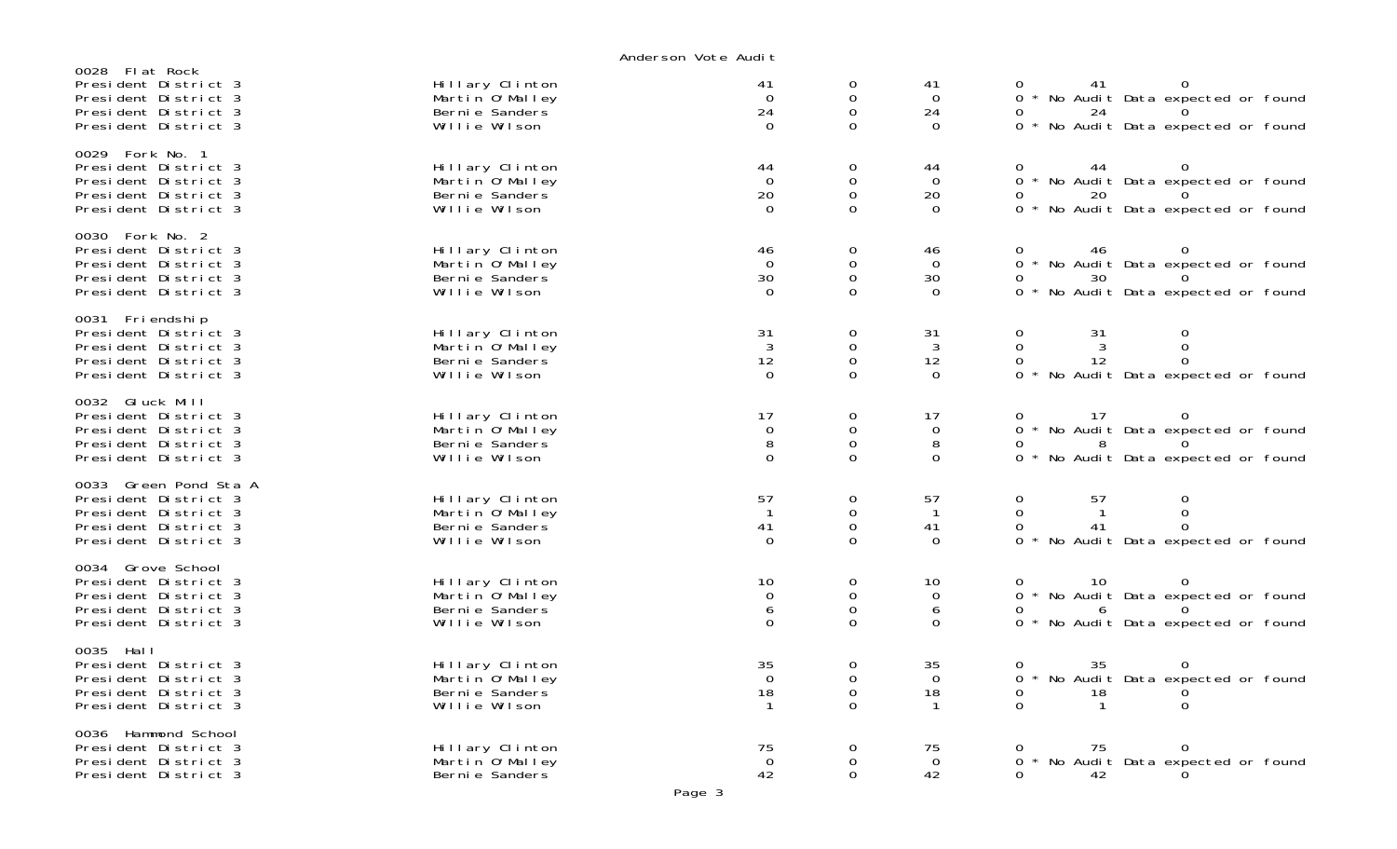| 0028 Flat Rock<br>President District 3<br>President District 3<br>President District 3<br>President District 3           | Hillary Clinton<br>Martin 0' Malley<br>Berni e Sanders<br>Willie Wilson | 41<br>$\Omega$<br>24<br>$\mathbf 0$      | 0<br>0<br>$\mathbf 0$<br>0                           | 41<br>$\Omega$<br>24<br>$\mathbf 0$          | 0<br>41<br>* No Audit Data expected or found<br>$\Omega$<br>$\Omega$<br>24<br>* No Audit Data expected or found<br>$\overline{O}$ |
|--------------------------------------------------------------------------------------------------------------------------|-------------------------------------------------------------------------|------------------------------------------|------------------------------------------------------|----------------------------------------------|-----------------------------------------------------------------------------------------------------------------------------------|
| 0029 Fork No. 1<br>President District 3<br>President District 3<br>President District 3<br>President District 3          | Hillary Clinton<br>Martin 0' Malley<br>Berni e Sanders<br>Willie Wilson | 44<br>$\overline{0}$<br>20<br>$\Omega$   | 0<br>0<br>0<br>0                                     | 44<br>$\overline{O}$<br>20<br>$\Omega$       | 44<br>0<br>0<br>0 * No Audit Data expected or found<br>20<br>0<br>0 * No Audit Data expected or found                             |
| 0030 Fork No. 2<br>President District 3<br>President District 3<br>President District 3<br>President District 3          | Hillary Clinton<br>Martin O'Malley<br>Berni e Sanders<br>Willie Wilson  | 46<br>$\overline{0}$<br>30<br>$\Omega$   | 0<br>0<br>$\mathsf{O}\xspace$<br>0                   | 46<br>$\Omega$<br>30<br>$\Omega$             | 46<br>* No Audit Data expected or found<br>0<br>30<br>0<br>$\Omega$<br>0 * No Audit Data expected or found                        |
| 0031 Friendship<br>President District 3<br>President District 3<br>President District 3<br>President District 3          | Hillary Clinton<br>Martin O'Malley<br>Berni e Sanders<br>Willie Wilson  | 31<br>3<br>12<br>$\overline{0}$          | $\mathbf 0$<br>0<br>0<br>0                           | 31<br>3<br>12<br>$\Omega$                    | 0<br>31<br>0<br>$\Omega$<br>3<br>0<br>12<br>0<br>0<br>No Audit Data expected or found<br>$\Omega$                                 |
| 0032 Gluck Mill<br>President District 3<br>President District 3<br>President District 3<br>President District 3          | Hillary Clinton<br>Martin O'Malley<br>Berni e Sanders<br>Willie Wilson  | 17<br>$\overline{0}$<br>8<br>$\mathbf 0$ | 0<br>$\mathbf 0$<br>$\mathbf 0$<br>0                 | 17<br>$\mathbf 0$<br>8<br>$\mathbf 0$        | 17<br>0<br>$\Omega$<br>* No Audit Data expected or found<br>8<br>* No Audit Data expected or found<br>0                           |
| Green Pond Sta A<br>0033<br>President District 3<br>President District 3<br>President District 3<br>President District 3 | Hillary Clinton<br>Martin 0' Malley<br>Berni e Sanders<br>Willie Wilson | 57<br>$\overline{1}$<br>41<br>$\Omega$   | 0<br>0<br>0<br>0                                     | 57<br>$\overline{1}$<br>41<br>$\overline{0}$ | 0<br>57<br>$\boldsymbol{0}$<br>0<br>0<br>$\mathbf 1$<br>41<br>$\Omega$<br>0<br>$\Omega$<br>No Audit Data expected or found        |
| 0034 Grove School<br>President District 3<br>President District 3<br>President District 3<br>President District 3        | Hillary Clinton<br>Martin O'Malley<br>Berni e Sanders<br>Willie Wilson  | 10<br>$\overline{0}$<br>6<br>$\mathbf 0$ | 0<br>$\mathsf{O}\xspace$<br>0<br>0                   | 10<br>$\mathbf 0$<br>6<br>$\Omega$           | 10<br>$\Omega$<br>0 * No Audit Data expected or found<br>$\Omega$<br>6<br>* No Audit Data expected or found<br>$\Omega$           |
| 0035 Hall<br>President District 3<br>President District 3<br>President District 3<br>President District 3                | Hillary Clinton<br>Martin O'Malley<br>Berni e Sanders<br>Willie Wilson  | 35<br>$\mathbf 0$<br>18                  | 0<br>$\mathsf{O}\xspace$<br>$\mathsf{O}\xspace$<br>0 | 35<br>$\overline{O}$<br>18                   | 35<br>0<br>* No Audit Data expected or found<br>0<br>18<br>0<br>0<br>$\Omega$<br>$\Omega$                                         |
| 0036 Hammond School<br>President District 3<br>President District 3<br>President District 3                              | Hillary Clinton<br>Martin O'Malley<br>Berni e Sanders                   | 75<br>0<br>42                            | 0<br>0<br>$\mathbf 0$                                | 75<br>$\Omega$<br>42                         | 75<br>0<br>0<br>No Audit Data expected or found<br>$\Omega$<br>0<br>42                                                            |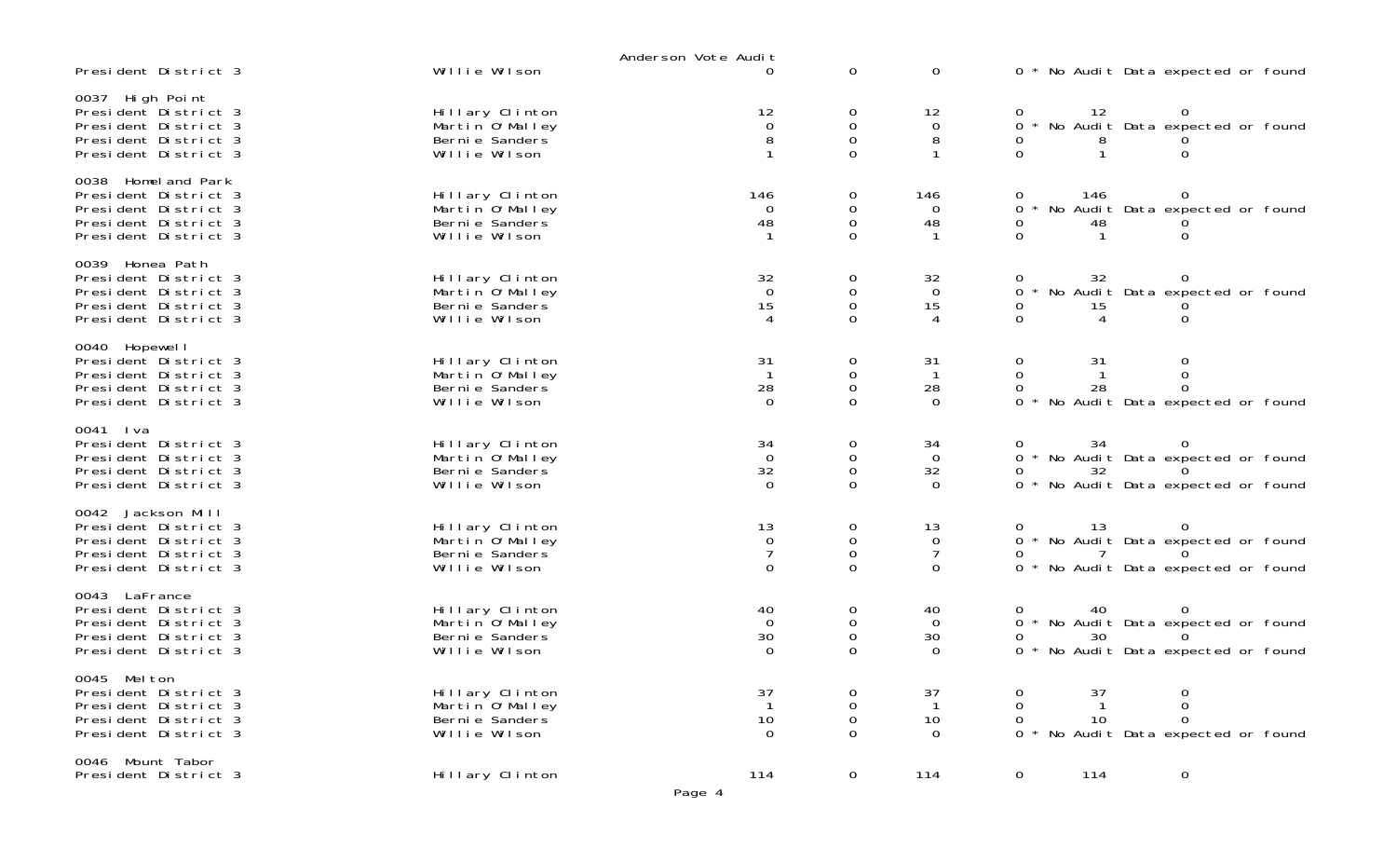| President District 3                                                                                                | Willie Wilson                                                           | Anderson Vote Audit<br>$\Omega$              | $\mathbf 0$                               | $\mathbf 0$                                           | 0 * No Audit Data expected or found                                                            |
|---------------------------------------------------------------------------------------------------------------------|-------------------------------------------------------------------------|----------------------------------------------|-------------------------------------------|-------------------------------------------------------|------------------------------------------------------------------------------------------------|
| 0037 High Point<br>President District 3<br>President District 3<br>President District 3<br>President District 3     | Hillary Clinton<br>Martin O'Malley<br>Berni e Sanders<br>Willie Wilson  | 12<br>0<br>8                                 | 0<br>$\mathsf{O}\xspace$<br>0<br>$\Omega$ | 12<br>$\mathbf 0$<br>8                                | 12<br>No Audit Data expected or found<br>0                                                     |
| 0038 Homel and Park<br>President District 3<br>President District 3<br>President District 3<br>President District 3 | Hillary Clinton<br>Martin 0' Malley<br>Berni e Sanders<br>Willie Wilson | 146<br>$\Omega$<br>48                        | 0<br>0<br>0<br>$\Omega$                   | 146<br>0<br>48                                        | 146<br>No Audit Data expected or found<br>0<br>48<br>$\Omega$                                  |
| 0039 Honea Path<br>President District 3<br>President District 3<br>President District 3<br>President District 3     | Hillary Clinton<br>Martin O'Malley<br>Berni e Sanders<br>Willie Wilson  | 32<br>$\mathbf 0$<br>15<br>$\overline{4}$    | 0<br>0<br>$\mathbf 0$<br>$\Omega$         | 32<br>$\Omega$<br>15<br>$\overline{4}$                | 32<br>No Audit Data expected or found<br>0<br>15<br>$\Omega$<br>4                              |
| 0040 Hopewel I<br>President District 3<br>President District 3<br>President District 3<br>President District 3      | Hillary Clinton<br>Martin O'Malley<br>Berni e Sanders<br>Willie Wilson  | 31<br>$\overline{1}$<br>28<br>$\overline{0}$ | 0<br>0<br>$\mathbf 0$<br>$\Omega$         | 31<br>$\overline{1}$<br>28<br>$\Omega$                | 0<br>31<br>0<br>0<br>28<br>0 * No Audit Data expected or found                                 |
| 0041 Iva<br>President District 3<br>President District 3<br>President District 3<br>President District 3            | Hillary Clinton<br>Martin O'Malley<br>Berni e Sanders<br>Willie Wilson  | 34<br>$\overline{0}$<br>32<br>$\overline{0}$ | 0<br>0<br>$\mathbf 0$<br>$\Omega$         | 34<br>$\overline{0}$<br>32<br>$\Omega$                | 34<br>0 * No Audit Data expected or found<br>32<br>0 * No Audit Data expected or found         |
| 0042 Jackson Mill<br>President District 3<br>President District 3<br>President District 3<br>President District 3   | Hillary Clinton<br>Martin O'Malley<br>Berni e Sanders<br>Willie Wilson  | 13<br>0<br>$\overline{7}$<br>$\mathbf 0$     | 0<br>0<br>$\mathsf 0$<br>0                | 13<br>$\overline{0}$<br>$\overline{7}$<br>$\mathbf 0$ | 13<br>0 * No Audit Data expected or found<br>0 * No Audit Data expected or found               |
| 0043 LaFrance<br>President District 3<br>President District 3<br>President District 3<br>President District 3       | Hillary Clinton<br>Martin 0'Malley<br>Berni e Sanders<br>Willie Wilson  | 40<br>$\Omega$<br>30<br>$\mathbf 0$          | 0<br>0<br>0                               | 40<br>$\overline{0}$<br>30<br>$\overline{0}$          | 40<br>0<br>0 * No Audit Data expected or found<br>30<br>0<br>* No Audit Data expected or found |
| 0045 Melton<br>President District 3<br>President District 3<br>President District 3<br>President District 3         | Hillary Clinton<br>Martin 0' Malley<br>Berni e Sanders<br>Willie Wilson | 37<br>10<br>$\mathbf 0$                      | 0<br>$\mathbf 0$<br>0                     | 37<br>10<br>$\overline{0}$                            | 37<br>0<br>0<br>10<br>$\Omega$<br>0<br>$\Omega$<br>No Audit Data expected or found             |
| 0046 Mount Tabor<br>President District 3                                                                            | Hillary Clinton                                                         | 114<br>Page 4                                | $\mathsf{O}$                              | 114                                                   | $\mathbf 0$<br>114<br>$\mathbf 0$                                                              |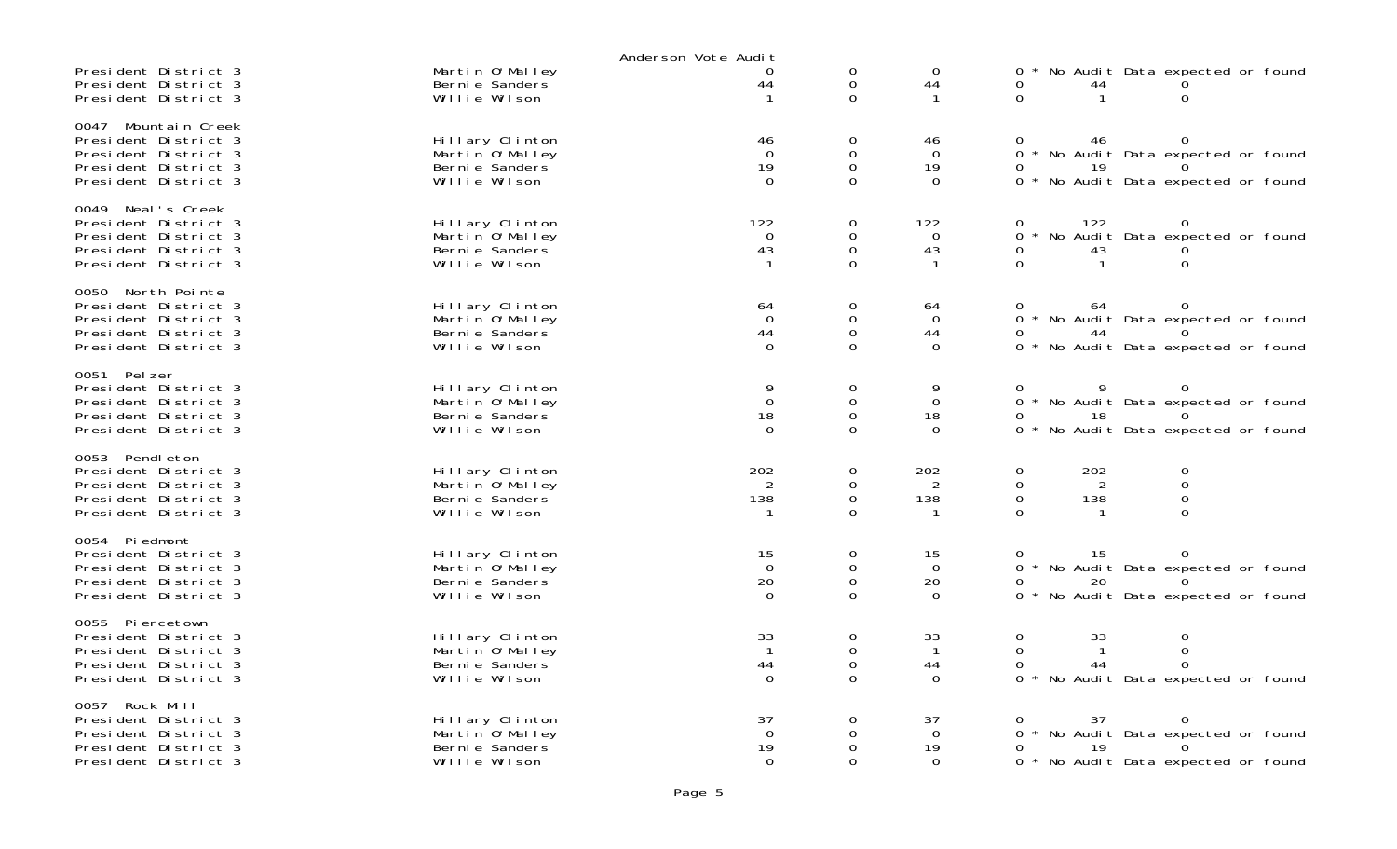|                                                                                                                     |                                                                        | Anderson Vote Audit                          |                                                       |                                              |                                                                                                                                            |
|---------------------------------------------------------------------------------------------------------------------|------------------------------------------------------------------------|----------------------------------------------|-------------------------------------------------------|----------------------------------------------|--------------------------------------------------------------------------------------------------------------------------------------------|
| President District 3<br>President District 3<br>President District 3                                                | Martin O'Malley<br>Berni e Sanders<br>Willie Wilson                    | 0<br>44<br>$\mathbf 1$                       | 0<br>$\mathbf 0$<br>$\Omega$                          | $\mathbf 0$<br>44<br>$\mathbf{1}$            | No Audit Data expected or found<br>0<br>44<br>0<br>$\Omega$<br>$\mathbf{1}$                                                                |
| 0047 Mountain Creek<br>President District 3<br>President District 3<br>President District 3<br>President District 3 | Hillary Clinton<br>Martin O'Malley<br>Berni e Sanders<br>Willie Wilson | 46<br>$\Omega$<br>19<br>$\Omega$             | 0<br>$\mathsf 0$<br>$\mathsf{O}\xspace$<br>$\Omega$   | 46<br>$\Omega$<br>19<br>$\Omega$             | 46<br>0<br>0<br>$\Omega$<br>No Audit Data expected or found<br>0<br>19<br>$\Omega$<br>$\star$<br>No Audit Data expected or found           |
| 0049 Neal's Creek<br>President District 3<br>President District 3<br>President District 3<br>President District 3   | Hillary Clinton<br>Martin O'Malley<br>Bernie Sanders<br>Willie Wilson  | 122<br>$\Omega$<br>43<br>-1                  | 0<br>$\mathbf 0$<br>$\mathbf 0$<br>$\Omega$           | 122<br>$\Omega$<br>43<br>$\mathbf{1}$        | 0<br>122<br>$\mathbf{O}$<br>No Audit Data expected or found<br>$\Omega$<br>0<br>43<br>$\Omega$<br>$\mathbf{1}$<br>0                        |
| 0050 North Pointe<br>President District 3<br>President District 3<br>President District 3<br>President District 3   | Hillary Clinton<br>Martin 0'Malley<br>Berni e Sanders<br>Willie Wilson | 64<br>$\overline{0}$<br>44<br>$\Omega$       | 0<br>$\mathbf 0$<br>$\mathbf 0$<br>$\Omega$           | 64<br>$\overline{0}$<br>44<br>$\Omega$       | 0<br>64<br>0<br>$\Omega$<br>No Audit Data expected or found<br>0<br>44<br>No Audit Data expected or found<br>0                             |
| 0051 Pelzer<br>President District 3<br>President District 3<br>President District 3<br>President District 3         | Hillary Clinton<br>Martin O'Malley<br>Berni e Sanders<br>Willie Wilson | 9<br>$\mathbf 0$<br>18<br>$\Omega$           | $\mathbf 0$<br>0<br>$\mathbf 0$<br>$\Omega$           | 9<br>$\Omega$<br>18<br>$\Omega$              | 9<br>$\mathbf 0$<br>$\Omega$<br>No Audit Data expected or found<br>0<br>0<br>18<br>$\Omega$<br>$\Omega$<br>No Audit Data expected or found |
| 0053 Pendleton<br>President District 3<br>President District 3<br>President District 3<br>President District 3      | Hillary Clinton<br>Martin O'Malley<br>Berni e Sanders<br>Willie Wilson | 202<br>2<br>138                              | $\mathbf 0$<br>$\mathbf 0$<br>0<br>$\Omega$           | 202<br>2<br>138                              | $\mathbf 0$<br>0<br>202<br>$\mathbf 0$<br>$\mathbf 0$<br>2<br>$\mathbf 0$<br>$\mathbf 0$<br>138<br>$\mathbf 0$<br>$\Omega$<br>-1           |
| 0054 Piedmont<br>President District 3<br>President District 3<br>President District 3<br>President District 3       | Hillary Clinton<br>Martin 0'Malley<br>Bernie Sanders<br>Willie Wilson  | 15<br>$\overline{0}$<br>20<br>$\Omega$       | 0<br>$\mathbf 0$<br>$\mathbf 0$<br>$\Omega$           | 15<br>$\overline{0}$<br>20<br>$\Omega$       | 15<br>0<br>0<br>No Audit Data expected or found<br>$\Omega$<br>20<br>0<br>No Audit Data expected or found<br>0<br>$\star$                  |
| 0055 Piercetown<br>President District 3<br>President District 3<br>President District 3<br>President District 3     | Hillary Clinton<br>Martin O'Malley<br>Berni e Sanders<br>Willie Wilson | 33<br>$\overline{1}$<br>44<br>$\Omega$       | $\mathbf 0$<br>$\mathbf 0$<br>$\mathbf 0$<br>$\Omega$ | 33<br>$\overline{1}$<br>44<br>$\Omega$       | $\mathbf 0$<br>0<br>33<br>$\mathbf 0$<br>0<br>$\mathbf{1}$<br>0<br>44<br>$\Omega$<br>$\Omega$<br>No Audit Data expected or found           |
| 0057 Rock Mill<br>President District 3<br>President District 3<br>President District 3<br>President District 3      | Hillary Clinton<br>Martin O'Malley<br>Berni e Sanders<br>Willie Wilson | 37<br>$\overline{0}$<br>19<br>$\overline{0}$ | 0<br>$\mathbf 0$<br>$\Omega$<br>$\Omega$              | 37<br>$\overline{O}$<br>19<br>$\overline{0}$ | 0<br>37<br>0<br>No Audit Data expected or found<br>0<br>19<br>0<br>No Audit Data expected or found<br>$\Omega$                             |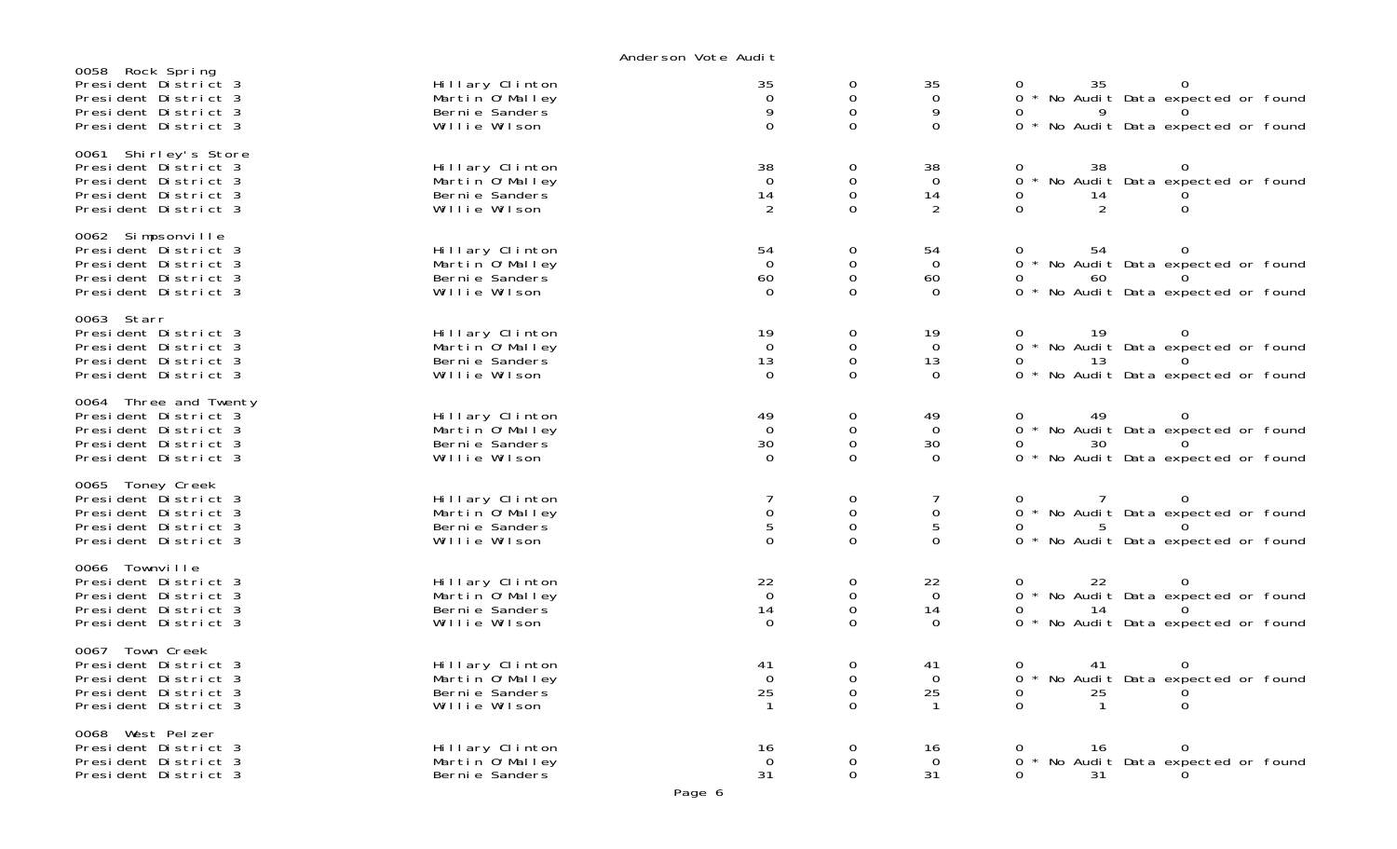| 0058 Rock Spring<br>President District 3<br>President District 3<br>President District 3<br>President District 3      | Hillary Clinton<br>Martin O'Malley<br>Berni e Sanders<br>Willie Wilson  | 35<br>$\mathbf 0$<br>9<br>$\overline{0}$     | 0<br>0<br>$\mathsf{O}$<br>$\Omega$                        | 35<br>$\mathbf 0$<br>9<br>$\Omega$     | 0<br>35<br>0 * No Audit Data expected or found<br>0 * No Audit Data expected or found                   |
|-----------------------------------------------------------------------------------------------------------------------|-------------------------------------------------------------------------|----------------------------------------------|-----------------------------------------------------------|----------------------------------------|---------------------------------------------------------------------------------------------------------|
| 0061 Shirley's Store<br>President District 3<br>President District 3<br>President District 3<br>President District 3  | Hillary Clinton<br>Martin O'Malley<br>Berni e Sanders<br>Willie Wilson  | 38<br>$\mathbf 0$<br>14<br>2                 | 0<br>$\mathsf{O}$<br>$\mathbf 0$<br>$\Omega$              | 38<br>$\Omega$<br>14<br>$\overline{2}$ | 38<br>$\Omega$<br>No Audit Data expected or found<br>$\overline{0}$<br>0<br>14<br>2<br>0<br>0           |
| 0062 Simpsonville<br>President District 3<br>President District 3<br>President District 3<br>President District 3     | Hillary Clinton<br>Martin O'Malley<br>Berni e Sanders<br>Willie Wilson  | 54<br>$\overline{0}$<br>60<br>$\Omega$       | 0<br>0<br>$\mathsf{O}$<br>$\Omega$                        | 54<br>$\overline{O}$<br>60<br>$\Omega$ | 54<br>$\Omega$<br>0 * No Audit Data expected or found<br>0<br>60<br>0 * No Audit Data expected or found |
| 0063 Starr<br>President District 3<br>President District 3<br>President District 3<br>President District 3            | Hillary Clinton<br>Martin O'Malley<br>Berni e Sanders<br>Willie Wilson  | 19<br>$\mathbf 0$<br>13<br>$\Omega$          | 0<br>$\mathbf{O}$<br>$\mathsf{O}$<br>$\mathbf{O}$         | 19<br>$\Omega$<br>13<br>$\mathbf 0$    | 19<br>0<br>0 * No Audit Data expected or found<br>O<br>13<br>0 * No Audit Data expected or found        |
| 0064 Three and Twenty<br>President District 3<br>President District 3<br>President District 3<br>President District 3 | Hillary Clinton<br>Martin O'Malley<br>Berni e Sanders<br>Willie Wilson  | 49<br>$\overline{0}$<br>30<br>$\Omega$       | 0<br>$\mathbf{O}$<br>$\mathsf{O}$<br>0                    | 49<br>$\Omega$<br>30<br>$\overline{0}$ | 49<br>0<br>0<br>0 * No Audit Data expected or found<br>30<br>0 * No Audit Data expected or found        |
| 0065 Toney Creek<br>President District 3<br>President District 3<br>President District 3<br>President District 3      | Hillary Clinton<br>Martin 0' Malley<br>Berni e Sanders<br>Willie Wilson | 0<br>$\overline{5}$<br>$\Omega$              | 0<br>$\mathsf{O}\xspace$<br>$\mathbf 0$<br>$\overline{O}$ | $\mathbf 0$<br>5<br>$\Omega$           | 0 * No Audit Data expected or found<br>5<br><sup>n</sup><br>0 * No Audit Data expected or found         |
| 0066 Townville<br>President District 3<br>President District 3<br>President District 3<br>President District 3        | Hillary Clinton<br>Martin O'Malley<br>Berni e Sanders<br>Willie Wilson  | 22<br>$\overline{0}$<br>14<br>$\overline{0}$ | 0<br>$\mathbf{O}$<br>$\mathsf{O}$<br>$\Omega$             | 22<br>$\overline{0}$<br>14<br>$\Omega$ | 22<br>0<br>0<br>0 * No Audit Data expected or found<br>14<br>0<br>* No Audit Data expected or found     |
| 0067 Town Creek<br>President District 3<br>President District 3<br>President District 3<br>President District 3       | Hillary Clinton<br>Martin O'Malley<br>Berni e Sanders<br>Willie Wilson  | 41<br>$\mathbf 0$<br>25                      | 0<br>$\mathbf 0$<br>$\mathsf{O}$<br>$\Omega$              | 41<br>$\Omega$<br>25<br>$\mathbf{1}$   | 41<br>0<br>* No Audit Data expected or found<br>$\Omega$<br>25<br>0<br>$\Omega$<br>$\mathbf{1}$<br>0    |
| 0068 West Pelzer<br>President District 3<br>President District 3<br>President District 3                              | Hillary Clinton<br>Martin O'Malley<br>Berni e Sanders                   | 16<br>$\Omega$<br>31                         | 0<br>0<br>0                                               | 16<br>$\Omega$<br>31                   | 0<br>0<br>16<br>* No Audit Data expected or found<br>$\Omega$<br>0<br>31                                |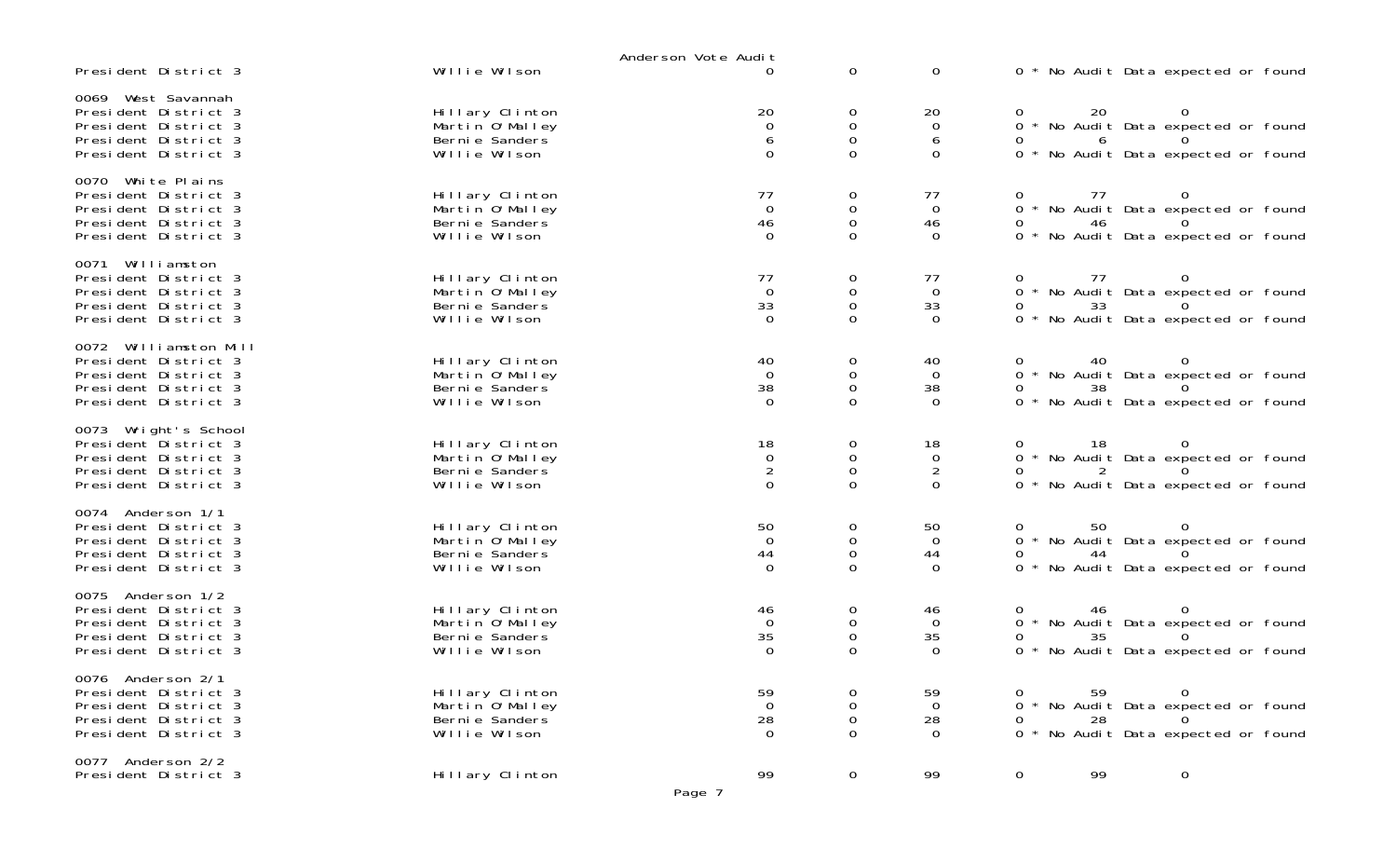|                                                                                                                       |                                                                        | Anderson Vote Audit                                   |                                                                     |                                                    |                                                                                                                              |
|-----------------------------------------------------------------------------------------------------------------------|------------------------------------------------------------------------|-------------------------------------------------------|---------------------------------------------------------------------|----------------------------------------------------|------------------------------------------------------------------------------------------------------------------------------|
| President District 3                                                                                                  | Willie Wilson                                                          | $\Omega$                                              | $\mathbf 0$                                                         | 0                                                  | 0 * No Audit Data expected or found                                                                                          |
| 0069 West Savannah<br>President District 3<br>President District 3<br>President District 3<br>President District 3    | Hillary Clinton<br>Martin O'Malley<br>Berni e Sanders<br>Willie Wilson | 20<br>$\overline{0}$<br>6<br>$\mathbf 0$              | 0<br>$\boldsymbol{0}$<br>$\mathbf 0$<br>0                           | 20<br>$\mathbf 0$<br>6<br>0                        | 20<br>0<br>* No Audit Data expected or found<br>$\overline{O}$<br>6<br>0 * No Audit Data expected or found                   |
| 0070 White Plains<br>President District 3<br>President District 3<br>President District 3<br>President District 3     | Hillary Clinton<br>Martin O'Malley<br>Berni e Sanders<br>Willie Wilson | $^{77}_{0}$<br>$\begin{matrix} 46 \\ 0 \end{matrix}$  | 0<br>$\mathbf 0$<br>$\mbox{O}$<br>0                                 | 77<br>$\overline{0}$<br>46<br>$\mathbf 0$          | 77<br>0<br>* No Audit Data expected or found<br>$\overline{O}$<br>46<br>0<br>0 * No Audit Data expected or found             |
| 0071 Williamston<br>President District 3<br>President District 3<br>President District 3<br>President District 3      | Hillary Clinton<br>Martin O'Malley<br>Berni e Sanders<br>Willie Wilson | $^{77}_{0}$<br>$\begin{array}{c} 33 \\ 0 \end{array}$ | 0<br>$\begin{smallmatrix}0\\0\end{smallmatrix}$<br>0                | 77<br>$\overline{0}$<br>33<br>$\mathbf 0$          | 77<br>0<br>0 * No Audit Data expected or found<br>33<br>0<br>0 * No Audit Data expected or found                             |
| 0072 Williamston Mill<br>President District 3<br>President District 3<br>President District 3<br>President District 3 | Hillary Clinton<br>Martin O'Malley<br>Berni e Sanders<br>Willie Wilson | 40<br>$\overline{0}$<br>38<br>$\overline{0}$          | $\boldsymbol{0}$<br>$\begin{smallmatrix}0\\0\end{smallmatrix}$<br>0 | 40<br>$\Omega$<br>38<br>$\mathbf 0$                | $\Omega$<br>40<br>* No Audit Data expected or found<br>$\overline{O}$<br>38<br>$\Omega$<br>* No Audit Data expected or found |
| 0073 Wright's School<br>President District 3<br>President District 3<br>President District 3<br>President District 3  | Hillary Clinton<br>Martin O'Malley<br>Berni e Sanders<br>Willie Wilson | $^{18}_{\ 0}$<br>$\sqrt{2}$<br>$\overline{0}$         | $\begin{smallmatrix}0\\0\\0\\0\end{smallmatrix}$<br>0               | 18<br>$\mathbf 0$<br>$\overline{a}$<br>$\mathbf 0$ | 18<br>0<br>0 * No Audit Data expected or found<br>0 * No Audit Data expected or found                                        |
| 0074 Anderson 1/1<br>President District 3<br>President District 3<br>President District 3<br>President District 3     | Hillary Clinton<br>Martin O'Malley<br>Berni e Sanders<br>Willie Wilson | 50<br>$\overline{0}$<br>44<br>$\overline{0}$          | $\boldsymbol{0}$<br>$\boldsymbol{0}$<br>$\mathsf{O}\xspace$<br>0    | 50<br>$\overline{0}$<br>44<br>$\mathbf 0$          | 50<br>0<br>0 * No Audit Data expected or found<br>44<br>* No Audit Data expected or found<br>$\Omega$                        |
| 0075 Anderson 1/2<br>President District 3<br>President District 3<br>President District 3<br>President District 3     | Hillary Clinton<br>Martin O'Malley<br>Berni e Sanders<br>Willie Wilson | 46<br>$\overline{0}$<br>35<br>$\overline{0}$          | 0<br>$\mbox{O}$<br>$\mathbf 0$<br>$\Omega$                          | 46<br>$\Omega$<br>35<br>$\Omega$                   | 46<br>$\overline{0}$<br>0 * No Audit Data expected or found<br>35<br>0 * No Audit Data expected or found                     |
| 0076 Anderson 2/1<br>President District 3<br>President District 3<br>President District 3<br>President District 3     | Hillary Clinton<br>Martin O'Malley<br>Berni e Sanders<br>Willie Wilson | 59<br>$\overline{0}$<br>28<br>$\overline{0}$          | 0<br>0<br>0<br>0                                                    | 59<br>$\mathbf 0$<br>28<br>$\Omega$                | 59    0<br>No Audit Data expected or found<br>0<br>28<br>0<br>$\Omega$<br>0<br>* No Audit Data expected or found             |
| 0077 Anderson 2/2<br>President District 3                                                                             | Hillary Clinton                                                        | 99                                                    | 0                                                                   | 99                                                 | 0<br>99<br>$\mathbf 0$                                                                                                       |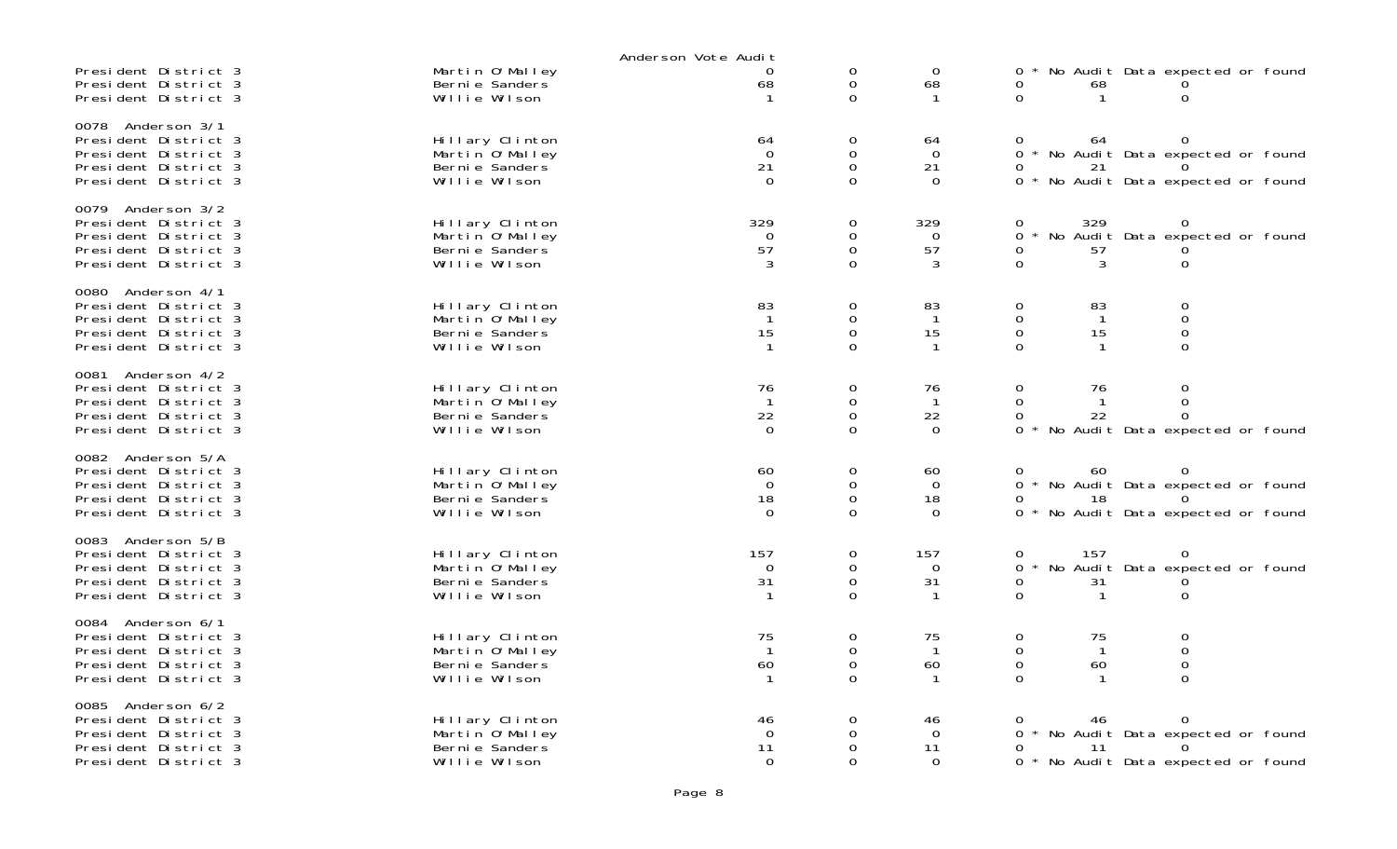|                                                                                                                      |                                                                         | Anderson Vote Audit                         |                                   |                                        |                                                                                                                            |
|----------------------------------------------------------------------------------------------------------------------|-------------------------------------------------------------------------|---------------------------------------------|-----------------------------------|----------------------------------------|----------------------------------------------------------------------------------------------------------------------------|
| President District 3<br>President District 3<br>President District 3                                                 | Martin O'Malley<br>Berni e Sanders<br>Willie Wilson                     | 0<br>68<br>$\mathbf{1}$                     | 0<br>0<br>0                       | $\mathbf 0$<br>68<br>-1                | No Audit Data expected or found<br>0<br>68<br>$\Omega$<br>0                                                                |
| 0078<br>Anderson 3/1<br>President District 3<br>President District 3<br>President District 3<br>President District 3 | Hillary Clinton<br>Martin 0' Malley<br>Berni e Sanders<br>Willie Wilson | 64<br>$\Omega$<br>21<br>$\Omega$            | 0<br>0<br>0<br>$\Omega$           | 64<br>$\Omega$<br>21<br>0              | $\Omega$<br>0<br>64<br>$\Omega$<br>* No Audit Data expected or found<br>0<br>21<br>0<br>* No Audit Data expected or found  |
| 0079 Anderson 3/2<br>President District 3<br>President District 3<br>President District 3<br>President District 3    | Hillary Clinton<br>Martin O'Malley<br>Bernie Sanders<br>Willie Wilson   | 329<br>0<br>57<br>3                         | 0<br>0<br>0<br>$\Omega$           | 329<br>$\mathbf 0$<br>57<br>3          | 329<br>0<br>$\mathbf{O}$<br>No Audit Data expected or found<br>0<br>0<br>57<br>$\Omega$<br>3<br>0                          |
| 0080 Anderson 4/1<br>President District 3<br>President District 3<br>President District 3<br>President District 3    | Hillary Clinton<br>Martin 0' Malley<br>Berni e Sanders<br>Willie Wilson | 83<br>$\mathbf{1}$<br>15<br>$\mathbf{1}$    | 0<br>0<br>0<br>$\Omega$           | 83<br>$\mathbf{1}$<br>15               | 0<br>83<br>0<br>0<br>$\mathbf 0$<br>$\mathbf{1}$<br>$\mathbf 0$<br>15<br>$\mathbf 0$<br>$\Omega$<br>0                      |
| 0081 Anderson 4/2<br>President District 3<br>President District 3<br>President District 3<br>President District 3    | Hillary Clinton<br>Martin O'Malley<br>Bernie Sanders<br>Willie Wilson   | 76<br>$\mathbf{1}$<br>22<br>$\Omega$        | 0<br>0<br>0<br>$\Omega$           | 76<br>$\mathbf 1$<br>22<br>$\Omega$    | 0<br>76<br>0<br>0<br>0<br>22<br>0<br>$\Omega$<br>No Audit Data expected or found<br>$\Omega$                               |
| 0082 Anderson 5/A<br>President District 3<br>President District 3<br>President District 3<br>President District 3    | Hillary Clinton<br>Martin O'Malley<br>Berni e Sanders<br>Willie Wilson  | 60<br>$\overline{0}$<br>18<br>$\Omega$      | 0<br>0<br>0<br>0                  | 60<br>$\overline{0}$<br>18<br>$\Omega$ | 60<br>$\Omega$<br>0<br>* No Audit Data expected or found<br>$\Omega$<br>$\Omega$<br>18<br>No Audit Data expected or found  |
| 0083 Anderson 5/B<br>President District 3<br>President District 3<br>President District 3<br>President District 3    | Hillary Clinton<br>Martin 0' Malley<br>Bernie Sanders<br>Willie Wilson  | 157<br>$\overline{0}$<br>31<br>$\mathbf{1}$ | 0<br>$\mathbf 0$<br>0<br>$\Omega$ | 157<br>0<br>31                         | 157<br>0<br>0<br>No Audit Data expected or found<br>$\Omega$<br>0<br>31<br>$\Omega$<br>0<br>$\mathbf 1$                    |
| 0084<br>Anderson 6/1<br>President District 3<br>President District 3<br>President District 3<br>President District 3 | Hillary Clinton<br>Martin O'Malley<br>Berni e Sanders<br>Willie Wilson  | 75<br>$\mathbf{1}$<br>60                    | 0<br>0<br>0<br>$\Omega$           | 75<br>-1<br>60                         | 0<br>75<br>$\mathbf 0$<br>$\boldsymbol{0}$<br>$\mathbf 0$<br>$\mathbf 0$<br>$\boldsymbol{0}$<br>60<br>$\Omega$<br>$\Omega$ |
| 0085<br>Anderson 6/2<br>President District 3<br>President District 3<br>President District 3<br>President District 3 | Hillary Clinton<br>Martin O'Malley<br>Berni e Sanders<br>Willie Wilson  | 46<br>$\Omega$<br>11<br>$\Omega$            | 0<br>0<br>0<br>0                  | 46<br>$\Omega$<br>11<br>$\Omega$       | 0<br>46<br>$\Omega$<br>* No Audit Data expected or found<br>0<br>0<br>11<br>$\Omega$<br>* No Audit Data expected or found  |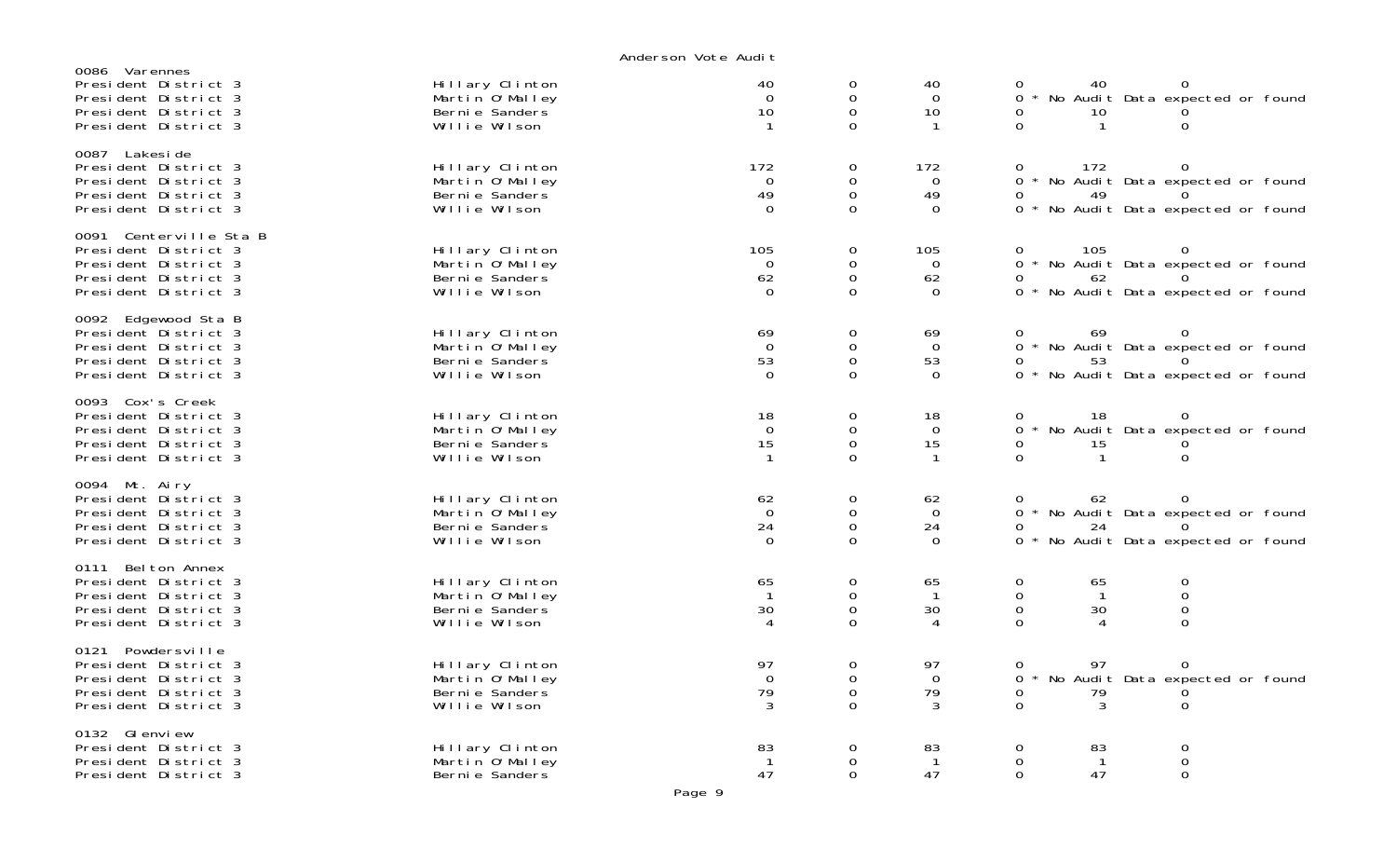| 0086 Varennes<br>President District 3<br>President District 3<br>President District 3<br>President District 3          | Hillary Clinton<br>Martin O'Malley<br>Berni e Sanders<br>Willie Wilson  | 40<br>$\Omega$<br>10                 | 0<br>0<br>0<br>$\Omega$    | 40<br>$\Omega$<br>10<br>-1          | 40<br>$\Omega$<br>$\Omega$<br>No Audit Data expected or found<br>0<br>10<br>$\Omega$<br>0                                              |
|------------------------------------------------------------------------------------------------------------------------|-------------------------------------------------------------------------|--------------------------------------|----------------------------|-------------------------------------|----------------------------------------------------------------------------------------------------------------------------------------|
| 0087 Lakesi de<br>President District 3<br>President District 3<br>President District 3<br>President District 3         | Hillary Clinton<br>Martin 0' Malley<br>Berni e Sanders<br>Willie Wilson | 172<br>$\mathbf 0$<br>49<br>$\Omega$ | 0<br>0<br>0<br>0           | 172<br>0<br>49<br>$\Omega$          | 172<br>0<br>0<br>$\Omega$<br>No Audit Data expected or found<br>49<br>0<br>0 * No Audit Data expected or found                         |
| 0091 Centerville Sta B<br>President District 3<br>President District 3<br>President District 3<br>President District 3 | Hillary Clinton<br>Martin 0' Malley<br>Berni e Sanders<br>Willie Wilson | 105<br>$\Omega$<br>62<br>$\Omega$    | 0<br>0<br>0<br>$\Omega$    | 105<br>$\Omega$<br>62<br>$\Omega$   | 105<br>0<br>0<br>$\Omega$<br>* No Audit Data expected or found<br>0<br>62<br>$\Omega$<br>$\Omega$<br>* No Audit Data expected or found |
| 0092 Edgewood Sta B<br>President District 3<br>President District 3<br>President District 3<br>President District 3    | Hillary Clinton<br>Martin O'Malley<br>Berni e Sanders<br>Willie Wilson  | 69<br>$\Omega$<br>53<br>$\Omega$     | 0<br>0<br>0<br>0           | 69<br>$\Omega$<br>53<br>$\Omega$    | 69<br>$\mathbf{O}$<br>0<br>* No Audit Data expected or found<br>0<br>$\Omega$<br>53<br>No Audit Data expected or found<br>0            |
| 0093 Cox's Creek<br>President District 3<br>President District 3<br>President District 3<br>President District 3       | Hillary Clinton<br>Martin O'Malley<br>Bernie Sanders<br>Willie Wilson   | 18<br>$\Omega$<br>15<br>-1           | 0<br>0<br>0<br>$\Omega$    | 18<br>$\Omega$<br>15<br>-1          | 18<br>0<br>0<br>$\Omega$<br>No Audit Data expected or found<br>0<br>15<br>$\Omega$<br>$\mathbf 1$<br>$\Omega$                          |
| 0094 Mt. Airy<br>President District 3<br>President District 3<br>President District 3<br>President District 3          | Hillary Clinton<br>Martin O'Malley<br>Berni e Sanders<br>Willie Wilson  | 62<br>$\mathbf 0$<br>24<br>$\Omega$  | 0<br>0<br>0<br>0           | 62<br>$\mathbf 0$<br>24<br>$\Omega$ | 62<br>0<br>0<br>No Audit Data expected or found<br>0<br>0<br>24<br>0<br>0<br>No Audit Data expected or found                           |
| 0111 Belton Annex<br>President District 3<br>President District 3<br>President District 3<br>President District 3      | Hillary Clinton<br>Martin O'Malley<br>Berni e Sanders<br>Willie Wilson  | 65<br>$\mathbf{1}$<br>30<br>4        | 0<br>0<br>0<br>0           | 65<br>$\mathbf{1}$<br>30<br>4       | 0<br>0<br>65<br>0<br>$\mathbf 0$<br>$\mathbf{1}$<br>$\mathsf{O}$<br>30<br>$\mathbf 0$<br>$\Omega$<br>$\Omega$<br>4                     |
| 0121 Powdersville<br>President District 3<br>President District 3<br>President District 3<br>President District 3      | Hillary Clinton<br>Martin O'Malley<br>Berni e Sanders<br>Willie Wilson  | 97<br>$\Omega$<br>79<br>3            | 0<br>0<br>$\mathbf 0$<br>0 | 97<br>$\Omega$<br>79<br>3           | 97<br>0<br>O<br>0<br>No Audit Data expected or found<br>79<br>0<br>0<br>$\overline{O}$<br>3<br>$\Omega$                                |
| 0132 GI envi ew<br>President District 3<br>President District 3<br>President District 3                                | Hillary Clinton<br>Martin O'Malley<br>Berni e Sanders                   | 83<br>$\mathbf{1}$<br>47             | 0<br>0<br>0                | 83<br>$\mathbf{1}$<br>47            | 0<br>0<br>83<br>0<br>0<br>$\mathbf{1}$<br>47<br>$\Omega$<br>0                                                                          |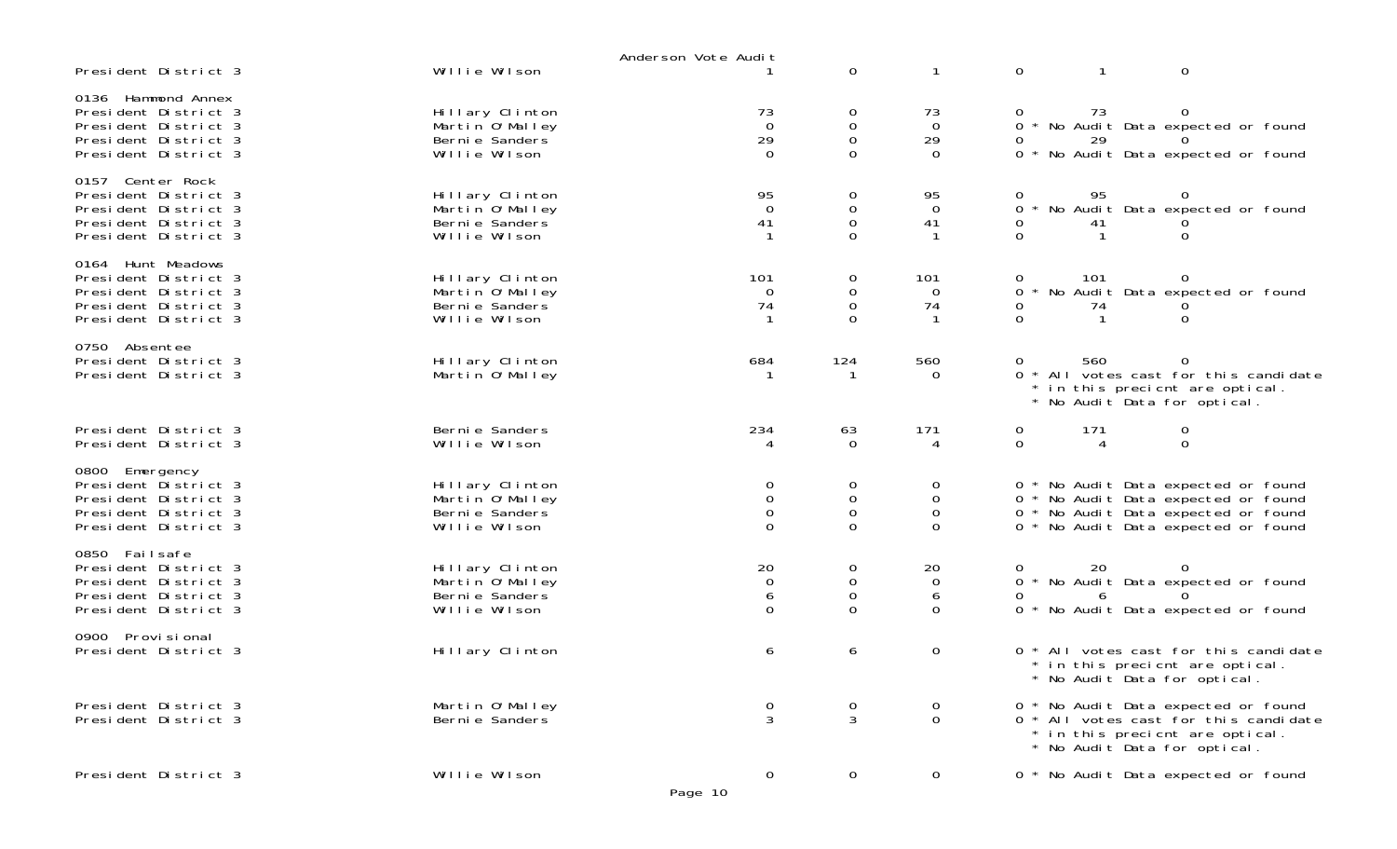|                                                                                                                    |                                                                         | Anderson Vote Audit                    |                                                                      |                                        |                               |           |                                                                                                                                                          |  |
|--------------------------------------------------------------------------------------------------------------------|-------------------------------------------------------------------------|----------------------------------------|----------------------------------------------------------------------|----------------------------------------|-------------------------------|-----------|----------------------------------------------------------------------------------------------------------------------------------------------------------|--|
| President District 3                                                                                               | Willie Wilson                                                           |                                        | $\mathbf 0$                                                          | -1                                     | 0                             | -1        | $\mathbf 0$                                                                                                                                              |  |
| 0136 Hammond Annex<br>President District 3<br>President District 3<br>President District 3<br>President District 3 | Hillary Clinton<br>Martin 0' Malley<br>Berni e Sanders<br>Willie Wilson | 73<br>$\overline{0}$<br>29<br>$\Omega$ | $\overline{0}$<br>$\boldsymbol{0}$<br>$\mathbf 0$<br>$\Omega$        | 73<br>$\overline{O}$<br>29<br>$\Omega$ | $\mathbf{O}$<br>0<br>$\Omega$ | 73<br>29  | 0<br>* No Audit Data expected or found<br>No Audit Data expected or found                                                                                |  |
| 0157 Center Rock<br>President District 3<br>President District 3<br>President District 3<br>President District 3   | Hillary Clinton<br>Martin O'Malley<br>Berni e Sanders<br>Willie Wilson  | $^{95}_{0}$<br>41                      | $\begin{matrix} 0 \\ 0 \end{matrix}$<br>$\boldsymbol{0}$<br>$\Omega$ | 95<br>$\overline{0}$<br>41             | 0<br>0<br>0<br>$\Omega$       | 95<br>41  | * No Audit Data expected or found<br>0                                                                                                                   |  |
| 0164 Hunt Meadows<br>President District 3<br>President District 3<br>President District 3<br>President District 3  | Hillary Clinton<br>Martin O'Malley<br>Berni e Sanders<br>Willie Wilson  | 101<br>$\overline{0}$<br>74            | 0<br>$\mathbf 0$<br>$\mathsf{O}\xspace$<br>$\Omega$                  | 101<br>$\overline{0}$<br>74            | 0<br>0<br>0<br>$\Omega$       | 101<br>74 | No Audit Data expected or found<br>0                                                                                                                     |  |
| 0750 Absentee<br>President District 3<br>President District 3                                                      | Hillary Clinton<br>Martin O'Malley                                      | 684                                    | 124<br>-1                                                            | 560<br>$\Omega$                        | 0<br>0                        | 560       | All votes cast for this candidate<br>in this precient are optical.<br>No Audit Data for optical.                                                         |  |
| President District 3<br>President District 3                                                                       | Berni e Sanders<br>Willie Wilson                                        | 234                                    | 63<br>$\Omega$                                                       | 171<br>4                               | 0<br>$\mathbf 0$              | 171<br>4  | 0<br>$\Omega$                                                                                                                                            |  |
| 0800 Emergency<br>President District 3<br>President District 3<br>President District 3<br>President District 3     | Hillary Clinton<br>Martin 0' Malley<br>Berni e Sanders<br>Willie Wilson | 0<br>$\mathbf 0$<br>0<br>$\Omega$      | 0<br>$\mathbf 0$<br>$\boldsymbol{0}$<br>$\mathbf 0$                  | 0<br>0<br>0<br>$\Omega$                |                               |           | 0 * No Audit Data expected or found<br>0 * No Audit Data expected or found<br>0 * No Audit Data expected or found<br>0 * No Audit Data expected or found |  |
| 0850 Failsafe<br>President District 3<br>President District 3<br>President District 3<br>President District 3      | Hillary Clinton<br>Martin O'Malley<br>Berni e Sanders<br>Willie Wilson  | 20<br>$\mathbf 0$<br>6<br>$\Omega$     | $\mathbf 0$<br>$\boldsymbol{0}$<br>$\mathbf 0$<br>$\mathbf 0$        | 20<br>$\mathbf 0$<br>6<br>$\Omega$     | 0<br>$\Omega$<br>Ω            | 20<br>6   | 0<br>* No Audit Data expected or found<br>0 * No Audit Data expected or found                                                                            |  |
| 0900 Provi si onal<br>President District 3                                                                         | Hillary Clinton                                                         | 6                                      | 6                                                                    | 0                                      |                               |           | 0 * All votes cast for this candidate<br>in this precient are optical.<br>No Audit Data for optical.                                                     |  |
| President District 3<br>President District 3                                                                       | Martin O'Malley<br>Berni e Sanders                                      | $\mathbf 0$<br>3                       | $\frac{0}{3}$                                                        | 0<br>$\Omega$                          |                               |           | 0 * No Audit Data expected or found<br>0 * All votes cast for this candidate<br>* in this precient are optical.<br>* No Audit Data for optical.          |  |
| President District 3                                                                                               | Willie Wilson                                                           | $\overline{0}$<br>Page 10              | 0                                                                    | $\mathbf 0$                            |                               |           | 0 * No Audit Data expected or found                                                                                                                      |  |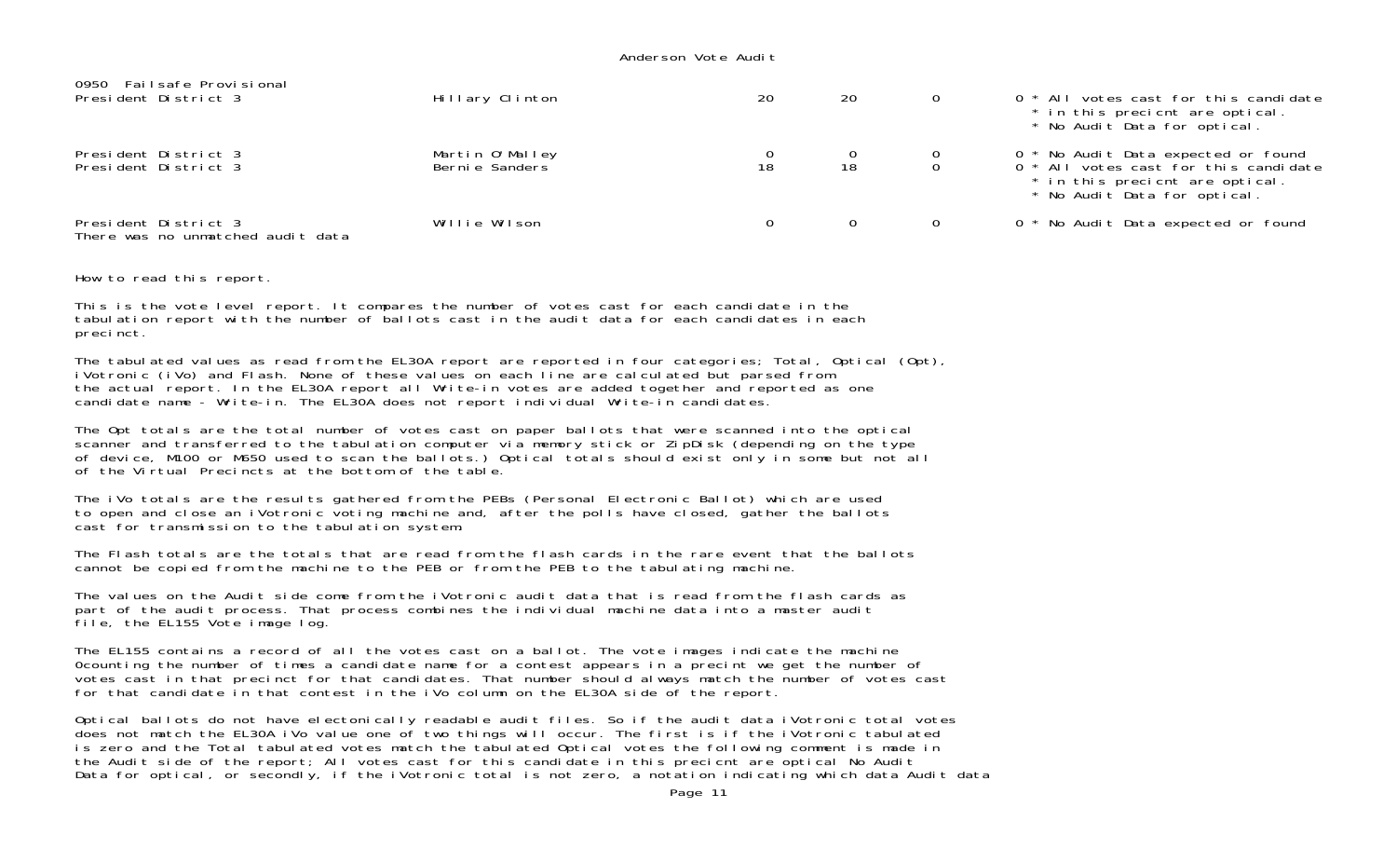| 0950 Failsafe Provisional<br>President District 3         | Hillary Clinton                    | 20 | 20 | 0 * All votes cast for this candidate<br>* in this precient are optical.<br>* No Audit Data for optical.                                        |
|-----------------------------------------------------------|------------------------------------|----|----|-------------------------------------------------------------------------------------------------------------------------------------------------|
| President District 3<br>President District 3              | Martin O'Malley<br>Berni e Sanders | 18 | 18 | 0 * No Audit Data expected or found<br>0 * All votes cast for this candidate<br>* in this precient are optical.<br>* No Audit Data for optical. |
| President District 3<br>There was no unmatched audit data | Willie Wilson                      |    | 0  | 0 * No Audit Data expected or found                                                                                                             |

How to read this report.

This is the vote level report. It compares the number of votes cast for each candidate in the tabulation report with the number of ballots cast in the audit data for each candidates in each precinct.

The tabulated values as read from the EL30A report are reported in four categories; Total, Optical (Opt), iVotronic (iVo) and Flash. None of these values on each line are calculated but parsed from the actual report. In the EL30A report all Write-in votes are added together and reported as one candidate name - Write-in. The EL30A does not report individual Write-in candidates.

The Opt totals are the total number of votes cast on paper ballots that were scanned into the optical scanner and transferred to the tabulation computer via memory stick or ZipDisk (depending on the type of device, M100 or M650 used to scan the ballots.) Optical totals should exist only in some but not all of the Virtual Precincts at the bottom of the table.

The iVo totals are the results gathered from the PEBs (Personal Electronic Ballot) which are used to open and close an iVotronic voting machine and, after the polls have closed, gather the ballots cast for transmission to the tabulation system.

The Flash totals are the totals that are read from the flash cards in the rare event that the ballots cannot be copied from the machine to the PEB or from the PEB to the tabulating machine.

The values on the Audit side come from the iVotronic audit data that is read from the flash cards as part of the audit process. That process combines the individual machine data into a master audit file, the EL155 Vote image log.

The EL155 contains a record of all the votes cast on a ballot. The vote images indicate the machine 0counting the number of times a candidate name for a contest appears in a precint we get the number of votes cast in that precinct for that candidates. That number should always match the number of votes cast for that candidate in that contest in the iVo column on the EL30A side of the report.

Optical ballots do not have electonically readable audit files. So if the audit data iVotronic total votes does not match the EL30A iVo value one of two things will occur. The first is if the iVotronic tabulated is zero and the Total tabulated votes match the tabulated Optical votes the following comment is made in the Audit side of the report; All votes cast for this candidate in this precicnt are optical No Audit Data for optical, or secondly, if the iVotronic total is not zero, a notation indicating which data Audit data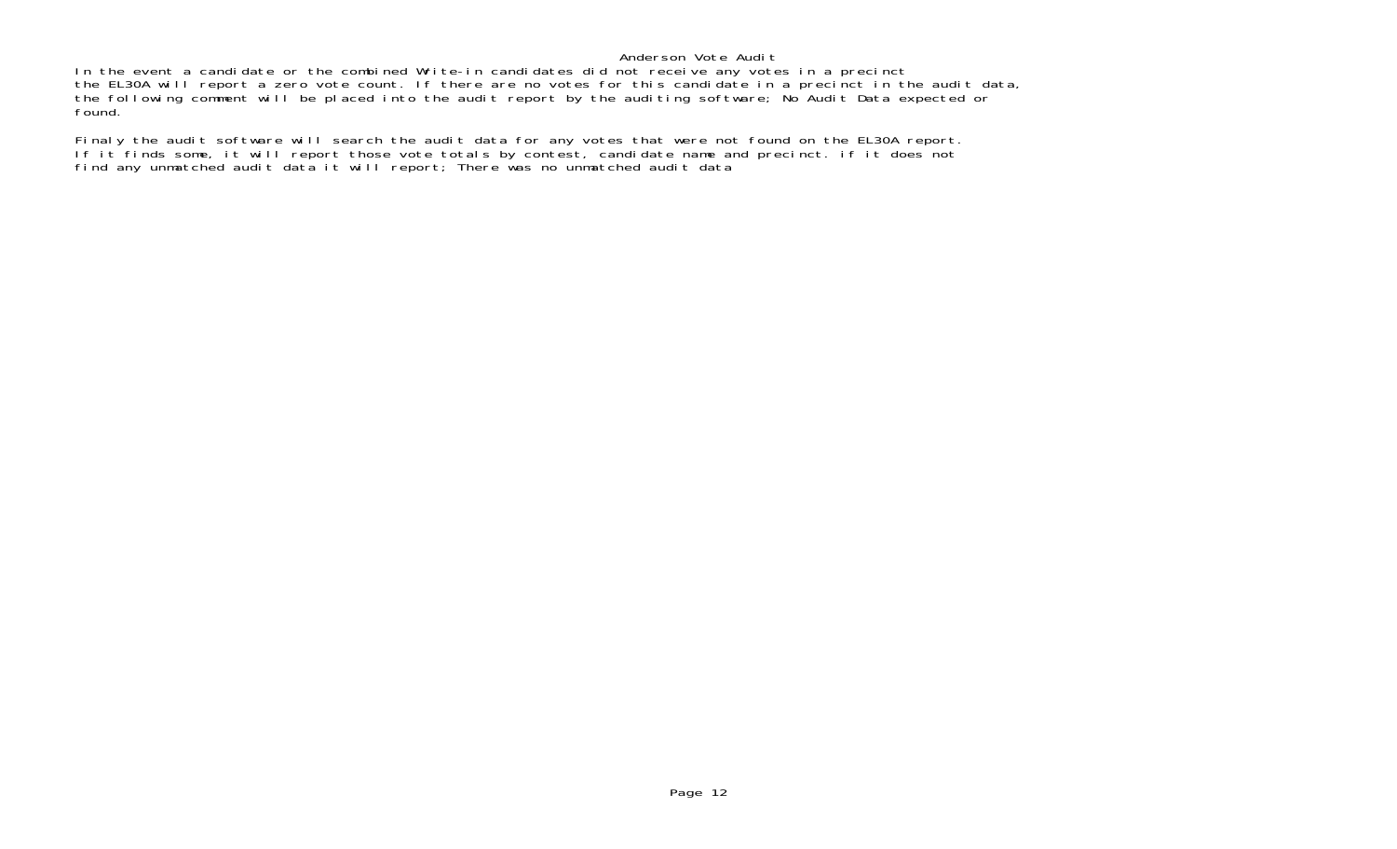In the event a candidate or the combined Write-in candidates did not receive any votes in a precinct the EL30A will report a zero vote count. If there are no votes for this candidate in a precinct in the audit data, the following comment will be placed into the audit report by the auditing software; No Audit Data expected or found.

Finaly the audit software will search the audit data for any votes that were not found on the EL30A report. If it finds some, it will report those vote totals by contest, candidate name and precinct. if it does no<sup>.</sup> find any unmatched audit data it will report; There was no unmatched audit data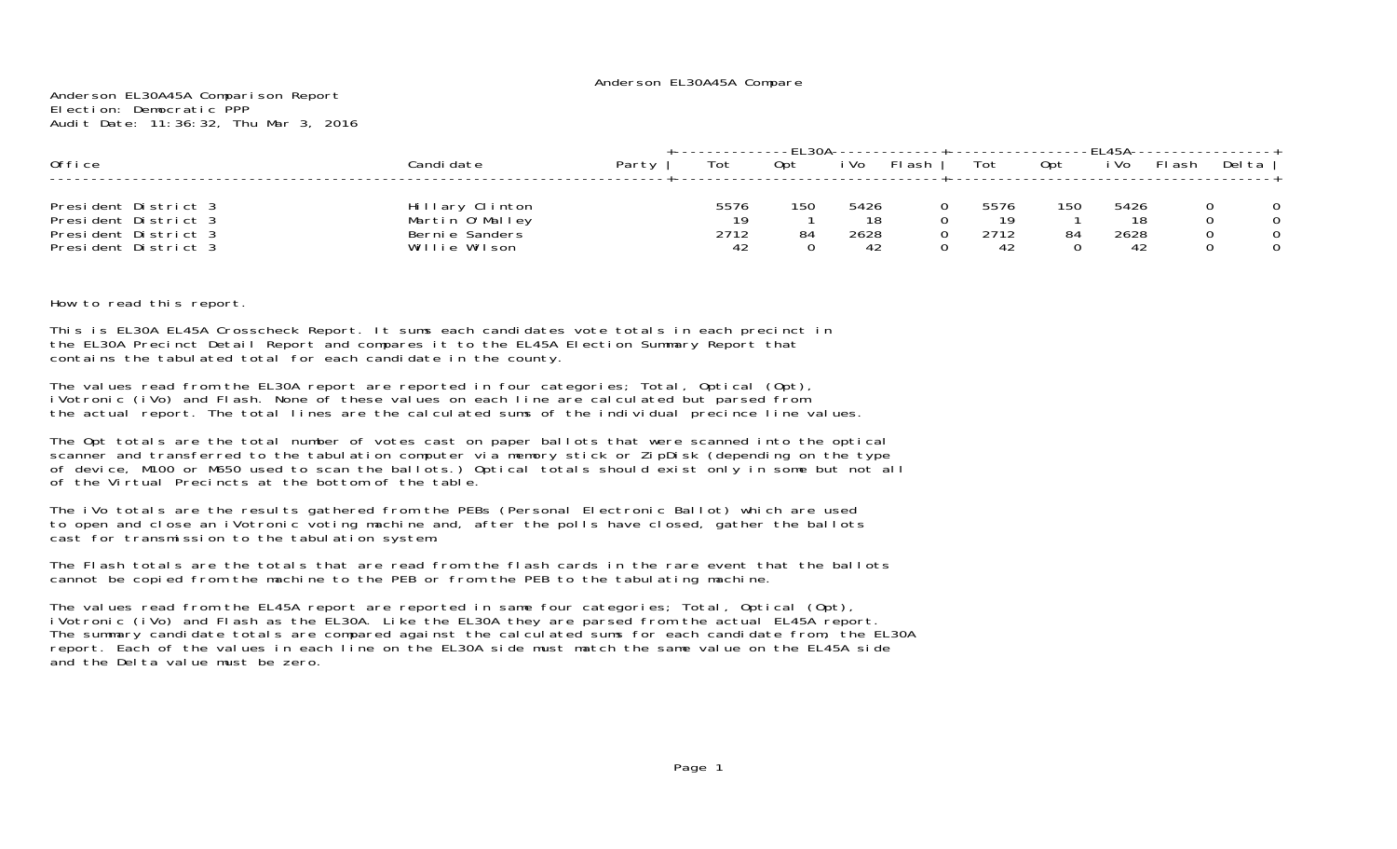#### Anderson EL30A45A Compare

Anderson EL30A45A Comparison Report Election: Democratic PPPAudit Date: 11:36:32, Thu Mar 3, 2016

| Office                                                                                       | Candi date                                                            | Party | Tot                      | Opt       | i Vo                     | FI ash | Tot                       | 0pt       | i Vo                     | FI ash | Delta |
|----------------------------------------------------------------------------------------------|-----------------------------------------------------------------------|-------|--------------------------|-----------|--------------------------|--------|---------------------------|-----------|--------------------------|--------|-------|
| President District 3<br>President District 3<br>President District 3<br>President District 3 | Hillary Clinton<br>Martin O'Malley<br>Bernie Sanders<br>Willie Wilson |       | 5576<br>19<br>2712<br>42 | 150<br>84 | 5426<br>18<br>2628<br>42 |        | 5576<br>1 Q<br>2712<br>42 | 150<br>84 | 5426<br>18<br>2628<br>42 |        |       |

How to read this report.

This is EL30A EL45A Crosscheck Report. It sums each candidates vote totals in each precinct in the EL30A Precinct Detail Report and compares it to the EL45A Election Summary Report that contains the tabulated total for each candidate in the county.

The values read from the EL30A report are reported in four categories; Total, Optical (Opt), iVotronic (iVo) and Flash. None of these values on each line are calculated but parsed from the actual report. The total lines are the calculated sums of the individual precince line values.

The Opt totals are the total number of votes cast on paper ballots that were scanned into the optical scanner and transferred to the tabulation computer via memory stick or ZipDisk (depending on the type of device, M100 or M650 used to scan the ballots.) Optical totals should exist only in some but not all of the Virtual Precincts at the bottom of the table.

The iVo totals are the results gathered from the PEBs (Personal Electronic Ballot) which are used to open and close an iVotronic voting machine and, after the polls have closed, gather the ballots cast for transmission to the tabulation system.

The Flash totals are the totals that are read from the flash cards in the rare event that the ballotscannot be copied from the machine to the PEB or from the PEB to the tabulating machine.

The values read from the EL45A report are reported in same four categories; Total, Optical (Opt), iVotronic (iVo) and Flash as the EL30A. Like the EL30A they are parsed from the actual EL45A report. The summary candidate totals are compared against the calculated sums for each candidate from, the EL30A report. Each of the values in each line on the EL30A side must match the same value on the EL45A side and the Delta value must be zero.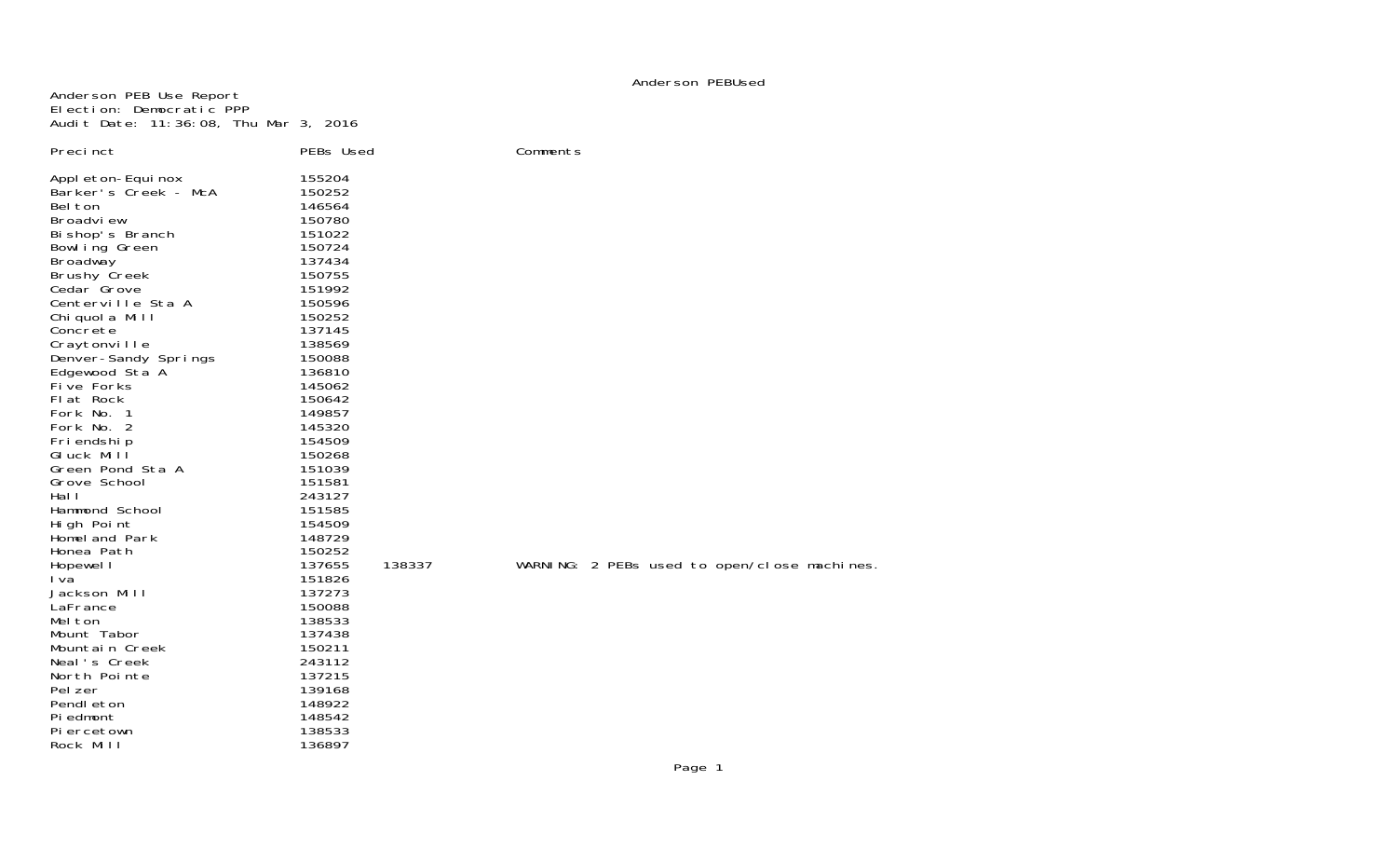#### Anderson PEBUsed

Anderson PEB Use Report Election: Democratic PPP Audit Date: 11:36:08, Thu Mar 3, 2016

| Preci nct                                                                                                                                                                                                                                                                                                                                                                                                                                                                                                                                                                                                                                                                        | PEBs Used                                                                                                                                                                                                                                                                                                                                                                                                                        |        | Comments        |
|----------------------------------------------------------------------------------------------------------------------------------------------------------------------------------------------------------------------------------------------------------------------------------------------------------------------------------------------------------------------------------------------------------------------------------------------------------------------------------------------------------------------------------------------------------------------------------------------------------------------------------------------------------------------------------|----------------------------------------------------------------------------------------------------------------------------------------------------------------------------------------------------------------------------------------------------------------------------------------------------------------------------------------------------------------------------------------------------------------------------------|--------|-----------------|
| Appl eton-Equi nox<br>Barker's Creek - McA<br>Bel ton<br>Broadview<br>Bi shop's Branch<br>Bowl ing Green<br><b>Broadway</b><br><b>Brushy Creek</b><br>Cedar Grove<br>Centerville Sta A<br>Chi quol a Mill<br>Concrete<br>Craytonville<br>Denver-Sandy Springs<br>Edgewood Sta A<br>Five Forks<br>Flat Rock<br>Fork No. 1<br>Fork No. 2<br>Fri endshi p<br>GIuck Mill<br>Green Pond Sta A<br>Grove School<br>Hal I<br>Hammond School<br>High Point<br>Homel and Park<br>Honea Path<br>Hopewel I<br>I va<br>Jackson Mill<br>LaFrance<br>Mel ton<br>Mount Tabor<br>Mountain Creek<br>Neal's Creek<br>North Pointe<br>Pel zer<br>Pendl eton<br>Pi edmont<br>Pi ercetown<br>Rock Mill | 155204<br>150252<br>146564<br>150780<br>151022<br>150724<br>137434<br>150755<br>151992<br>150596<br>150252<br>137145<br>138569<br>150088<br>136810<br>145062<br>150642<br>149857<br>145320<br>154509<br>150268<br>151039<br>151581<br>243127<br>151585<br>154509<br>148729<br>150252<br>137655<br>151826<br>137273<br>150088<br>138533<br>137438<br>150211<br>243112<br>137215<br>139168<br>148922<br>148542<br>138533<br>136897 | 138337 | WARNING: 2 PEBs |

Bs used to open/close machines.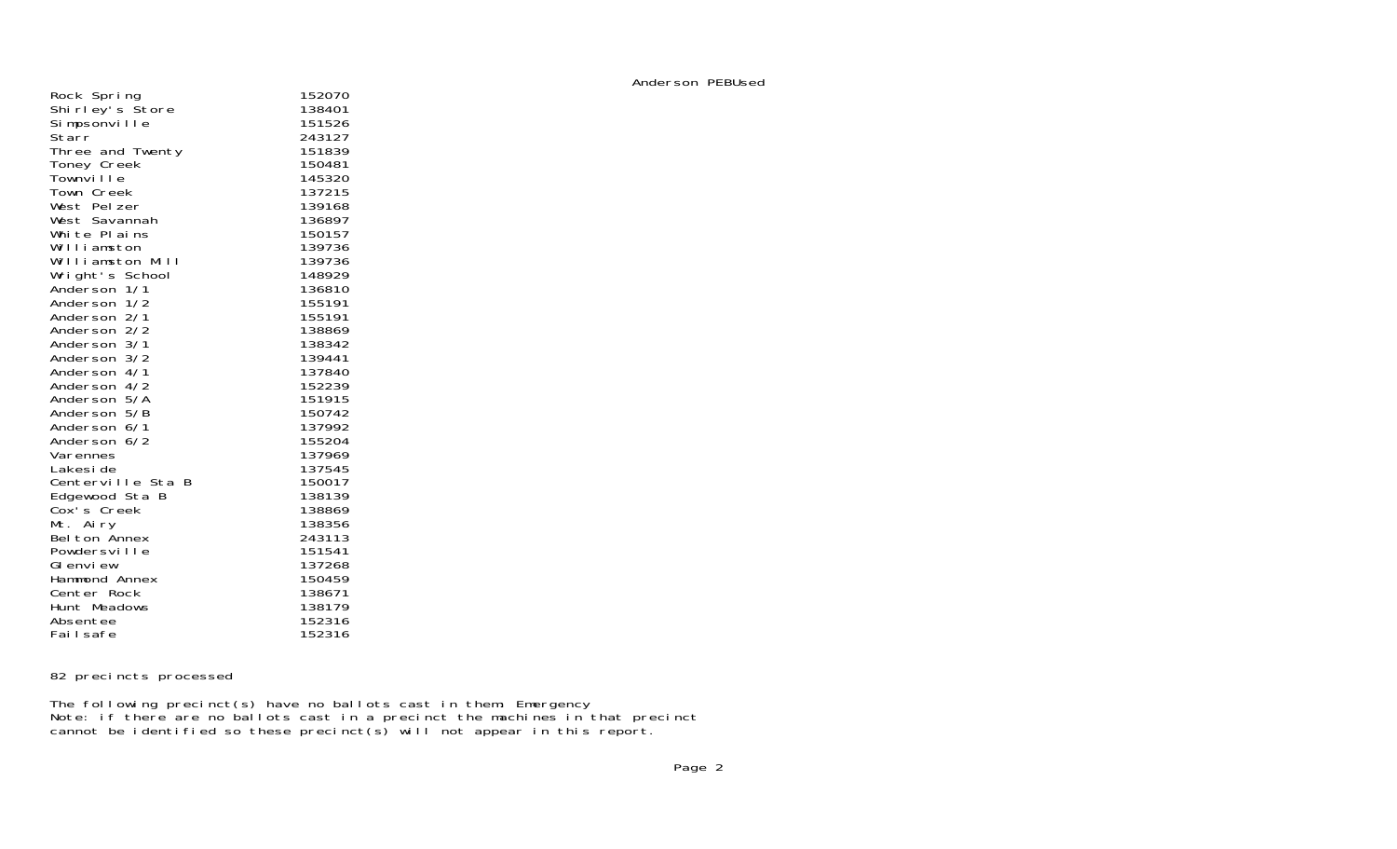| Rock Spring                     | 152070 |
|---------------------------------|--------|
| Shi rl ey's Štore               | 138401 |
| Simpsonville                    | 151526 |
| Starr                           | 243127 |
| Three and Twenty                | 151839 |
| Toney Creek                     | 150481 |
| Townville                       | 145320 |
| Town Creek                      | 137215 |
| West Pelzer                     | 139168 |
| West Savannah                   | 136897 |
| White Plains                    | 150157 |
| Williamston                     | 139736 |
| Williamston Mill                | 139736 |
|                                 | 148929 |
| Wright's School<br>Anderson 1/1 | 136810 |
| Anderson 1/2                    | 155191 |
| Anderson 2/1                    | 155191 |
| Anderson 2/2                    | 138869 |
| Anderson 3/1                    | 138342 |
| Anderson 3/2                    | 139441 |
| Anderson 4/1                    | 137840 |
| Anderson 4/2                    | 152239 |
| Anderson 5/A                    | 151915 |
| Anderson 5/B                    | 150742 |
| Anderson 6/1                    | 137992 |
| Anderson 6/2                    | 155204 |
| Varennes                        | 137969 |
| Lakesi de                       | 137545 |
| Centerville Sta B               | 150017 |
| Edgewood Sta B                  | 138139 |
| Cox's Creek                     | 138869 |
| Mt. Airy                        | 138356 |
| Belton Annex                    | 243113 |
| Powdersville                    | 151541 |
| GI envi ew                      | 137268 |
| Hammond Annex                   | 150459 |
| Center Rock                     | 138671 |
| Hunt Meadows                    | 138179 |
| Absentee                        | 152316 |
| Failsafe                        | 152316 |
|                                 |        |

Anderson PEBUsed

## 82 precincts processed

The following precinct(s) have no ballots cast in them: Emergency Note: if there are no ballots cast in a precinct the machines in that precinct cannot be identified so these precinct(s) will not appear in this report.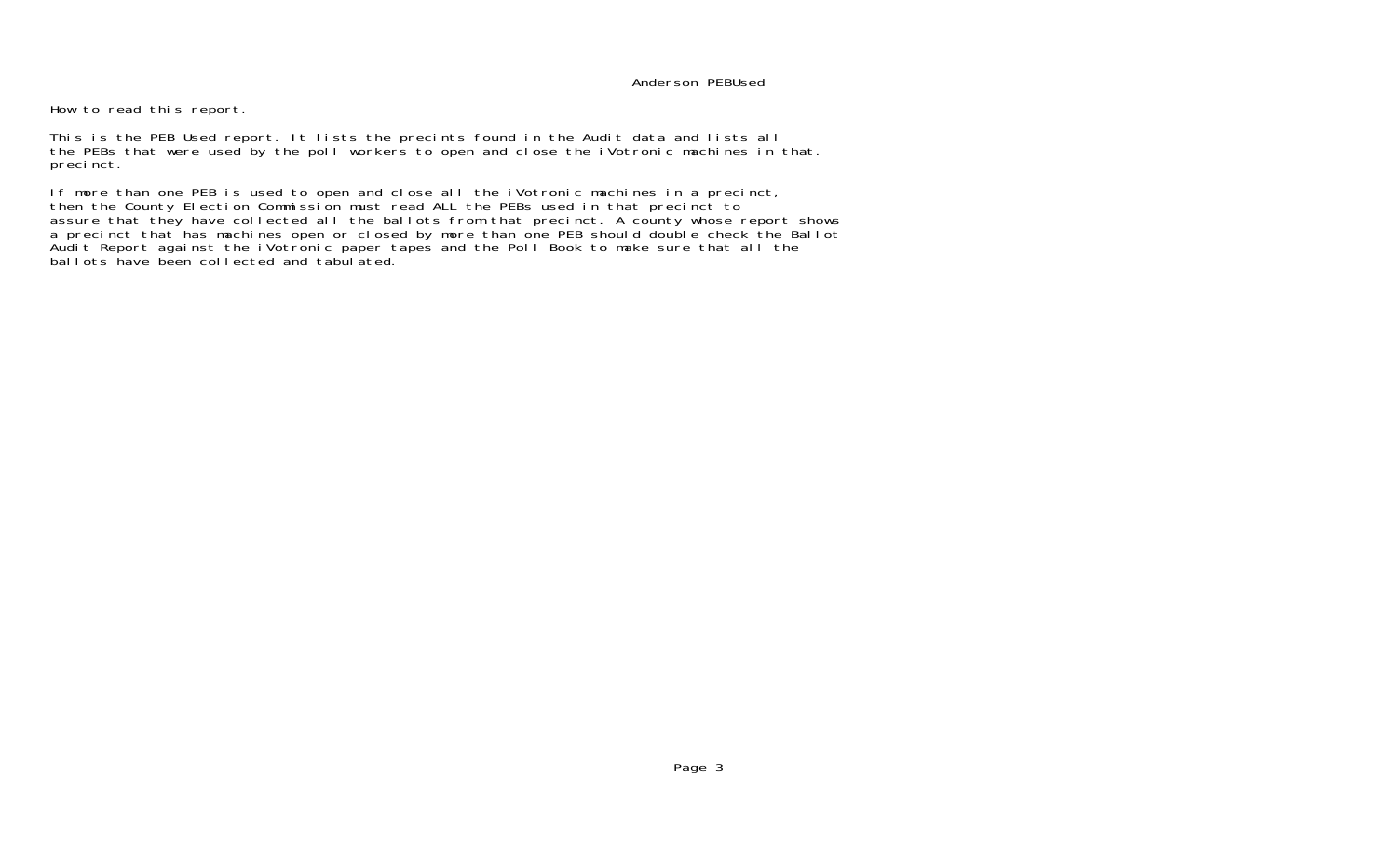#### Anderson PEBUsed

How to read this report.

This is the PEB Used report. It lists the precints found in the Audit data and lists all the PEBs that were used by the poll workers to open and close the iVotronic machines in that. precinct.

If more than one PEB is used to open and close all the iVotronic machines in a precinct, then the County Election Commission must read ALL the PEBs used in that precinct to assure that they have collected all the ballots from that precinct. A county whose report shows a precinct that has machines open or closed by more than one PEB should double check the Ballot Audit Report against the iVotronic paper tapes and the Poll Book to make sure that all the ballots have been collected and tabulated.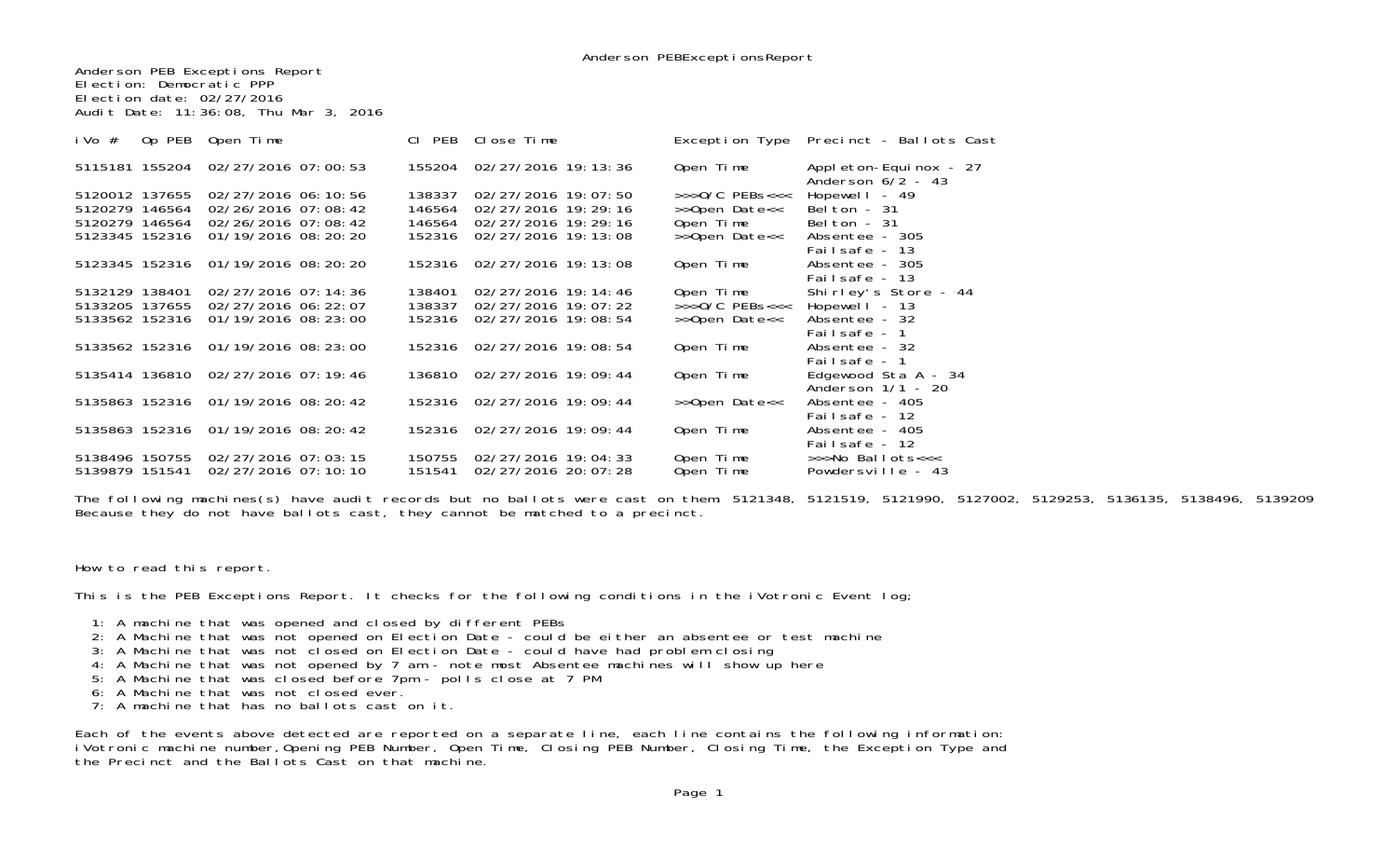Anderson PEB Exceptions Report Election: Democratic PPP Election date: 02/27/2016Audit Date: 11:36:08, Thu Mar 3, 2016

| Op PEB<br>i Vo $#$ | Open Time                          | CI PEB | Close Time                 |                        | Exception Type Precinct - Ballots Cast        |
|--------------------|------------------------------------|--------|----------------------------|------------------------|-----------------------------------------------|
|                    | 5115181 155204 02/27/2016 07:00:53 | 155204 | 02/27/2016 19: 13: 36      | Open Time              | Appl eton-Equinox - 27<br>Anderson $6/2$ - 43 |
| 5120012 137655     | 02/27/2016 06:10:56                | 138337 | 02/27/2016 19:07:50        | $>>0/C$ PEBs<<<        | Hopewell - $49$                               |
| 5120279 146564     | $02/26/2016$ 07:08:42              | 146564 | 02/27/2016 19:29:16        | >>Open Date<<          | Belton - $31$                                 |
| 5120279 146564     | 02/26/2016 07:08:42                | 146564 | 02/27/2016 19:29:16        | Open Time              | Belton - $31$                                 |
| 5123345 152316     | 01/19/2016 08: 20: 20              | 152316 | 02/27/2016 19:13:08        | >>Open Date<<          | Absentee - 305                                |
|                    |                                    |        |                            |                        | Failsafe - 13                                 |
|                    | 5123345 152316 01/19/2016 08:20:20 | 152316 | 02/27/2016 19:13:08        | Open Time              | Absentee - 305                                |
|                    |                                    |        |                            |                        | Failsafe - 13                                 |
| 5132129 138401     | 02/27/2016 07:14:36                | 138401 | 02/27/2016 19: 14: 46      | Open Time              | Shirley's Store - 44                          |
| 5133205 137655     | 02/27/2016 06: 22: 07              | 138337 | 02/27/2016 19:07:22        | $>>0/C$ PEBs<<<        | Hopewell $-13$                                |
| 5133562 152316     | 01/19/2016 08: 23: 00              | 152316 | 02/27/2016 19:08:54        | >>Open Date<<          | Absentee - 32                                 |
|                    |                                    |        |                            |                        | Failsafe - 1                                  |
|                    | 5133562 152316 01/19/2016 08:23:00 |        | 152316 02/27/2016 19:08:54 | Open Time              | Absentee - 32                                 |
|                    |                                    |        |                            |                        | Failsafe - 1                                  |
|                    | 5135414 136810 02/27/2016 07:19:46 | 136810 | 02/27/2016 19:09:44        | Open Time              | Edgewood Sta $A - 34$                         |
|                    |                                    |        |                            |                        | Anderson 1/1 - 20                             |
|                    | 5135863 152316 01/19/2016 08:20:42 | 152316 | 02/27/2016 19:09:44        | >>Open Date<<          | Absentee - 405                                |
|                    |                                    |        |                            |                        | Failsafe - 12                                 |
|                    | 5135863 152316 01/19/2016 08:20:42 | 152316 | 02/27/2016 19:09:44        | Open Time              | Absentee - 405                                |
|                    | 5138496 150755 02/27/2016 07:03:15 | 150755 | 02/27/2016 19:04:33        |                        | Failsafe - 12<br>>>>No Ballots<<<             |
| 5139879 151541     | 02/27/2016 07:10:10                | 151541 | 02/27/2016 20: 07: 28      | Open Time<br>Open Time | Powdersville - 43                             |
|                    |                                    |        |                            |                        |                                               |

The following machines(s) have audit records but no ballots were cast on them: 5121348, 5121519, 5121990, 5127002, 5129253, 5136135, 5138496, 5139209 Because they do not have ballots cast, they cannot be matched to a precinct.

How to read this report.

This is the PEB Exceptions Report. It checks for the following conditions in the iVotronic Event log;

1: A machine that was opened and closed by different PEBs

- 2: A Machine that was not opened on Election Date could be either an absentee or test machine
- 3: A Machine that was not closed on Election Date could have had problem closing
- 4: A Machine that was not opened by 7 am note most Absentee machines will show up here
- 5: A Machine that was closed before 7pm polls close at 7 PM
- 6: A Machine that was not closed ever.
- 7: A machine that has no ballots cast on it.

Each of the events above detected are reported on a separate line, each line contains the following information: iVotronic machine number,Opening PEB Number, Open Time, Closing PEB Number, Closing Time, the Exception Type and the Precinct and the Ballots Cast on that machine.